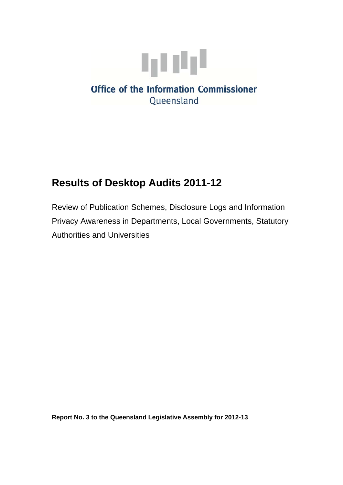

# **Results of Desktop Audits 2011-12**

Review of Publication Schemes, Disclosure Logs and Information Privacy Awareness in Departments, Local Governments, Statutory Authorities and Universities

**Report No. 3 to the Queensland Legislative Assembly for 2012-13**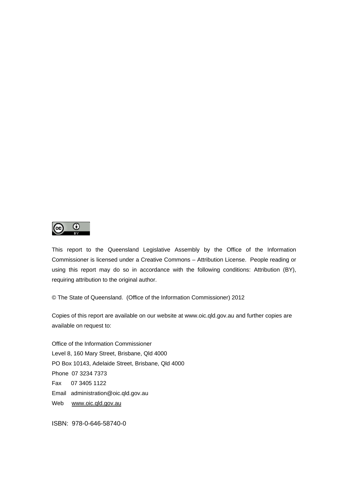

This report to the Queensland Legislative Assembly by the Office of the Information Commissioner is licensed under a Creative Commons – Attribution License. People reading or using this report may do so in accordance with the following conditions: Attribution (BY), requiring attribution to the original author.

© The State of Queensland. (Office of the Information Commissioner) 2012

Copies of this report are available on our website at www.oic.qld.gov.au and further copies are available on request to:

Office of the Information Commissioner Level 8, 160 Mary Street, Brisbane, Qld 4000 PO Box 10143, Adelaide Street, Brisbane, Qld 4000 Phone 07 3234 7373 Fax 07 3405 1122 Email administration@oic.qld.gov.au Web [www.oic.qld.gov.au](http://www.oic.qld.gov.au/)

ISBN: 978-0-646-58740-0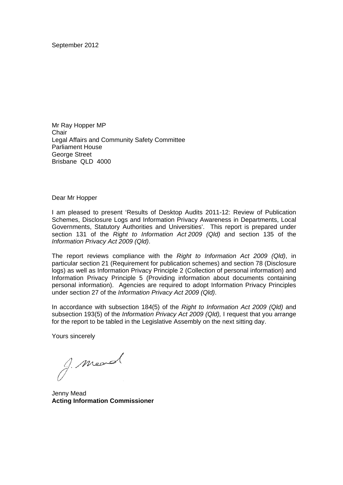September 2012

Mr Ray Hopper MP **Chair** Legal Affairs and Community Safety Committee Parliament House George Street Brisbane QLD 4000

#### Dear Mr Hopper

I am pleased to present 'Results of Desktop Audits 2011-12: Review of Publication Schemes, Disclosure Logs and Information Privacy Awareness in Departments, Local Governments, Statutory Authorities and Universities'. This report is prepared under section 131 of the *Right to Information Act 2009 (Qld)* and section 135 of the *Information Privacy Act 2009 (Qld)*.

The report reviews compliance with the *Right to Information Act 2009 (Qld)*, in particular section 21 (Requirement for publication schemes) and section 78 (Disclosure logs) as well as Information Privacy Principle 2 (Collection of personal information) and Information Privacy Principle 5 (Providing information about documents containing personal information). Agencies are required to adopt Information Privacy Principles under section 27 of the *Information Privacy Act 2009 (Qld)*.

In accordance with subsection 184(5) of the *Right to Information Act 2009 (Qld)* and subsection 193(5) of the *Information Privacy Act 2009 (Qld),* I request that you arrange for the report to be tabled in the Legislative Assembly on the next sitting day.

Yours sincerely

g. mead

Jenny Mead **Acting Information Commissioner**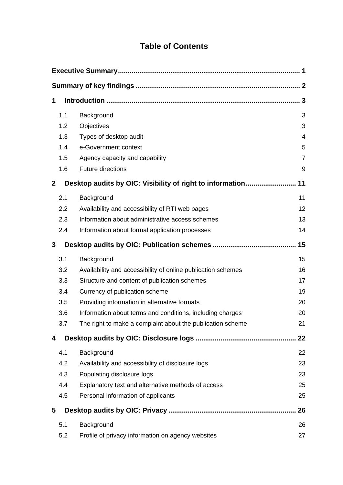## **Table of Contents**

| 1            |                                                              | 3              |  |  |
|--------------|--------------------------------------------------------------|----------------|--|--|
| 1.1          | Background                                                   | 3              |  |  |
| 1.2          | Objectives                                                   | 3              |  |  |
| 1.3          | Types of desktop audit                                       | 4              |  |  |
| 1.4          | e-Government context                                         | 5              |  |  |
| 1.5          | Agency capacity and capability                               | $\overline{7}$ |  |  |
| 1.6          | <b>Future directions</b>                                     | 9              |  |  |
| $\mathbf{2}$ | Desktop audits by OIC: Visibility of right to information    | 11             |  |  |
| 2.1          | Background                                                   | 11             |  |  |
| 2.2          | Availability and accessibility of RTI web pages              | 12             |  |  |
| 2.3          | Information about administrative access schemes              | 13             |  |  |
| 2.4          | Information about formal application processes               | 14             |  |  |
| 3            |                                                              | 15             |  |  |
| 3.1          | Background                                                   | 15             |  |  |
| 3.2          | Availability and accessibility of online publication schemes | 16             |  |  |
| 3.3          | Structure and content of publication schemes                 | 17             |  |  |
| 3.4          | Currency of publication scheme                               | 19             |  |  |
| 3.5          | Providing information in alternative formats                 | 20             |  |  |
| 3.6          | Information about terms and conditions, including charges    | 20             |  |  |
| 3.7          | The right to make a complaint about the publication scheme   | 21             |  |  |
| 4            |                                                              | 22             |  |  |
| 4.1          | Background                                                   | 22             |  |  |
| 4.2          | Availability and accessibility of disclosure logs            | 23             |  |  |
| 4.3          | Populating disclosure logs                                   | 23             |  |  |
| 4.4          | Explanatory text and alternative methods of access           | 25             |  |  |
| 4.5          | Personal information of applicants                           | 25             |  |  |
| 5            |                                                              | 26             |  |  |
| 5.1          | Background                                                   | 26             |  |  |
| 5.2          | Profile of privacy information on agency websites            | 27             |  |  |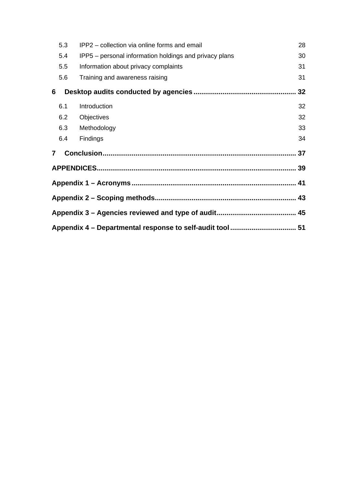|                | 5.3 | IPP2 – collection via online forms and email           | 28 |
|----------------|-----|--------------------------------------------------------|----|
|                | 5.4 | IPP5 – personal information holdings and privacy plans | 30 |
|                | 5.5 | Information about privacy complaints                   | 31 |
|                | 5.6 | Training and awareness raising                         | 31 |
| 6              |     |                                                        | 32 |
|                | 6.1 | Introduction                                           | 32 |
|                | 6.2 | Objectives                                             | 32 |
|                | 6.3 | Methodology                                            | 33 |
|                | 6.4 | Findings                                               | 34 |
| $\overline{7}$ |     |                                                        |    |
|                |     |                                                        |    |
|                |     |                                                        |    |
|                |     |                                                        |    |
|                |     |                                                        |    |
|                |     |                                                        |    |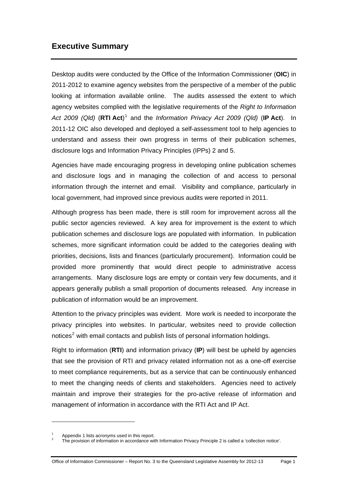## <span id="page-6-0"></span>**Executive Summary**

Desktop audits were conducted by the Office of the Information Commissioner (**OIC**) in 2011-2012 to examine agency websites from the perspective of a member of the public looking at information available online. The audits assessed the extent to which agency websites complied with the legislative requirements of the *Right to Information*  Act 2009 (Qld) (RTI Act)<sup>[1](#page-6-1)</sup> and the *Information Privacy Act 2009 (Qld)* (IP Act). In 2011-12 OIC also developed and deployed a self-assessment tool to help agencies to understand and assess their own progress in terms of their publication schemes, disclosure logs and Information Privacy Principles (IPPs) 2 and 5.

Agencies have made encouraging progress in developing online publication schemes and disclosure logs and in managing the collection of and access to personal information through the internet and email. Visibility and compliance, particularly in local government, had improved since previous audits were reported in 2011.

Although progress has been made, there is still room for improvement across all the public sector agencies reviewed. A key area for improvement is the extent to which publication schemes and disclosure logs are populated with information. In publication schemes, more significant information could be added to the categories dealing with priorities, decisions, lists and finances (particularly procurement). Information could be provided more prominently that would direct people to administrative access arrangements. Many disclosure logs are empty or contain very few documents, and it appears generally publish a small proportion of documents released. Any increase in publication of information would be an improvement.

Attention to the privacy principles was evident. More work is needed to incorporate the privacy principles into websites. In particular, websites need to provide collection notices<sup>[2](#page-6-2)</sup> with email contacts and publish lists of personal information holdings.

Right to information (**RTI**) and information privacy (**IP**) will best be upheld by agencies that see the provision of RTI and privacy related information not as a one-off exercise to meet compliance requirements, but as a service that can be continuously enhanced to meet the changing needs of clients and stakeholders. Agencies need to actively maintain and improve their strategies for the pro-active release of information and management of information in accordance with the RTI Act and IP Act.

 $\overline{a}$ 

<span id="page-6-1"></span><sup>1</sup> Appendix 1 lists acronyms used in this report.

<span id="page-6-2"></span>The provision of information in accordance with Information Privacy Principle 2 is called a 'collection notice'.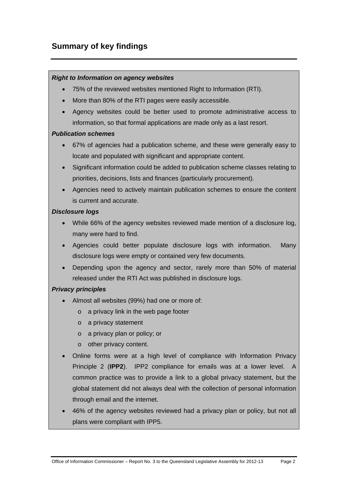## <span id="page-7-0"></span>**Summary of key findings**

#### *Right to Information on agency websites*

- 75% of the reviewed websites mentioned Right to Information (RTI).
- More than 80% of the RTI pages were easily accessible.
- Agency websites could be better used to promote administrative access to information, so that formal applications are made only as a last resort.

#### *Publication schemes*

- 67% of agencies had a publication scheme, and these were generally easy to locate and populated with significant and appropriate content.
- Significant information could be added to publication scheme classes relating to priorities, decisions, lists and finances (particularly procurement).
- Agencies need to actively maintain publication schemes to ensure the content is current and accurate.

#### *Disclosure logs*

- While 66% of the agency websites reviewed made mention of a disclosure log, many were hard to find.
- Agencies could better populate disclosure logs with information. Many disclosure logs were empty or contained very few documents.
- Depending upon the agency and sector, rarely more than 50% of material released under the RTI Act was published in disclosure logs.

### *Privacy principles*

- Almost all websites (99%) had one or more of:
	- o a privacy link in the web page footer
	- o a privacy statement
	- o a privacy plan or policy; or
	- o other privacy content.
- Online forms were at a high level of compliance with Information Privacy Principle 2 (**IPP2**). IPP2 compliance for emails was at a lower level. A common practice was to provide a link to a global privacy statement, but the global statement did not always deal with the collection of personal information through email and the internet.
- 46% of the agency websites reviewed had a privacy plan or policy, but not all plans were compliant with IPP5.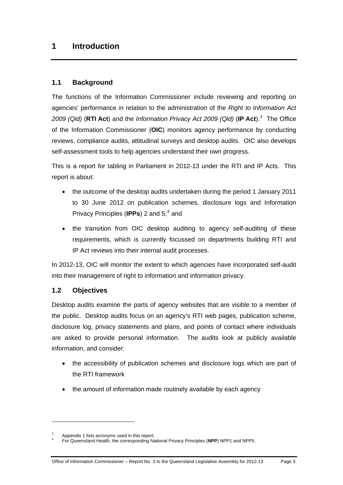## <span id="page-8-0"></span>**1 Introduction**

## <span id="page-8-1"></span>**1.1 Background**

The functions of the Information Commissioner include reviewing and reporting on agencies' performance in relation to the administration of the *Right to Information Act*  2009 (Qld) (RTI Act) and the *Information Privacy Act 2009 (Qld)* (IP Act).<sup>[3](#page-8-3)</sup> The Office of the Information Commissioner (**OIC**) monitors agency performance by conducting reviews, compliance audits, attitudinal surveys and desktop audits. OIC also develops self-assessment tools to help agencies understand their own progress.

This is a report for tabling in Parliament in 2012-13 under the RTI and IP Acts. This report is about:

- the outcome of the desktop audits undertaken during the period 1 January 2011 to 30 June 2012 on publication schemes, disclosure logs and Information Privacy Principles (IPPs) 2 and 5;<sup>[4](#page-8-4)</sup> and
- the transition from OIC desktop auditing to agency self-auditing of these requirements, which is currently focussed on departments building RTI and IP Act reviews into their internal audit processes.

In 2012-13, OIC will monitor the extent to which agencies have incorporated self-audit into their management of right to information and information privacy.

### <span id="page-8-2"></span>**1.2 Objectives**

 $\overline{a}$ 

Desktop audits examine the parts of agency websites that are visible to a member of the public. Desktop audits focus on an agency's RTI web pages, publication scheme, disclosure log, privacy statements and plans, and points of contact where individuals are asked to provide personal information. The audits look at publicly available information, and consider:

- the accessibility of publication schemes and disclosure logs which are part of the RTI framework
- the amount of information made routinely available by each agency

<span id="page-8-4"></span><span id="page-8-3"></span><sup>3</sup> Appendix 1 lists acronyms used in this report.

For Queensland Health, the corresponding National Privacy Principles (**NPP**) NPP1 and NPP5.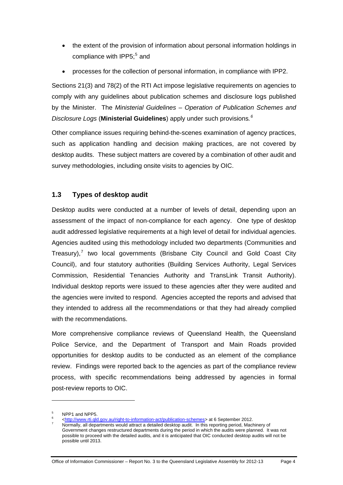- the extent of the provision of information about personal information holdings in compliance with IPP[5](#page-9-1); $5$  and
- processes for the collection of personal information, in compliance with IPP2.

Sections 21(3) and 78(2) of the RTI Act impose legislative requirements on agencies to comply with any guidelines about publication schemes and disclosure logs published by the Minister. The *Ministerial Guidelines – Operation of Publication Schemes and Disclosure Logs* (**Ministerial Guidelines**) apply under such provisions*. [6](#page-9-2)* 

Other compliance issues requiring behind-the-scenes examination of agency practices, such as application handling and decision making practices, are not covered by desktop audits. These subject matters are covered by a combination of other audit and survey methodologies, including onsite visits to agencies by OIC.

## <span id="page-9-0"></span>**1.3 Types of desktop audit**

Desktop audits were conducted at a number of levels of detail, depending upon an assessment of the impact of non-compliance for each agency. One type of desktop audit addressed legislative requirements at a high level of detail for individual agencies. Agencies audited using this methodology included two departments (Communities and Treasury), $7$  two local governments (Brisbane City Council and Gold Coast City Council), and four statutory authorities (Building Services Authority, Legal Services Commission, Residential Tenancies Authority and TransLink Transit Authority). Individual desktop reports were issued to these agencies after they were audited and the agencies were invited to respond. Agencies accepted the reports and advised that they intended to address all the recommendations or that they had already complied with the recommendations.

More comprehensive compliance reviews of Queensland Health, the Queensland Police Service, and the Department of Transport and Main Roads provided opportunities for desktop audits to be conducted as an element of the compliance review. Findings were reported back to the agencies as part of the compliance review process, with specific recommendations being addressed by agencies in formal post-review reports to OIC.

 $\overline{a}$ 

<span id="page-9-2"></span><span id="page-9-1"></span>NPP1 and NPP5.

<sup>6</sup> -http://www.rti.qld.gov.au/right-to-information-act/publication-schemes> at 6 September 2012.

<span id="page-9-3"></span>Normally, all departments would attract a detailed desktop audit. In this reporting period, Machinery of Government changes restructured departments during the period in which the audits were planned. It was not possible to proceed with the detailed audits, and it is anticipated that OIC conducted desktop audits will not be possible until 2013.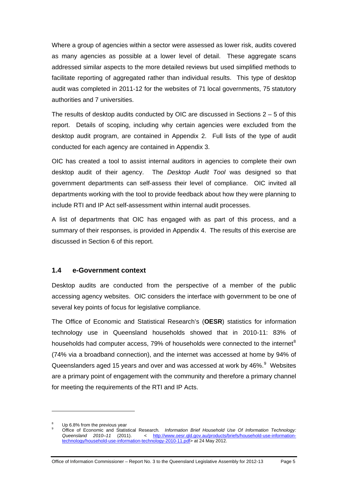Where a group of agencies within a sector were assessed as lower risk, audits covered as many agencies as possible at a lower level of detail. These aggregate scans addressed similar aspects to the more detailed reviews but used simplified methods to facilitate reporting of aggregated rather than individual results. This type of desktop audit was completed in 2011-12 for the websites of 71 local governments, 75 statutory authorities and 7 universities.

The results of desktop audits conducted by OIC are discussed in Sections  $2 - 5$  of this report. Details of scoping, including why certain agencies were excluded from the desktop audit program, are contained in Appendix 2. Full lists of the type of audit conducted for each agency are contained in Appendix 3.

OIC has created a tool to assist internal auditors in agencies to complete their own desktop audit of their agency. The *Desktop Audit Tool* was designed so that government departments can self-assess their level of compliance. OIC invited all departments working with the tool to provide feedback about how they were planning to include RTI and IP Act self-assessment within internal audit processes.

A list of departments that OIC has engaged with as part of this process, and a summary of their responses, is provided in Appendix 4. The results of this exercise are discussed in Section 6 of this report.

#### <span id="page-10-0"></span>**1.4 e-Government context**

Desktop audits are conducted from the perspective of a member of the public accessing agency websites. OIC considers the interface with government to be one of several key points of focus for legislative compliance.

The Office of Economic and Statistical Research's (**OESR**) statistics for information technology use in Queensland households showed that in 2010-11: 83% of households had computer access, 79% of households were connected to the internet ${}^{8}$  ${}^{8}$  ${}^{8}$ (74% via a broadband connection), and the internet was accessed at home by 94% of Queenslanders aged 15 years and over and was accessed at work by 46%. $9$  Websites are a primary point of engagement with the community and therefore a primary channel for meeting the requirements of the RTI and IP Acts.

 $\overline{a}$ 

<span id="page-10-1"></span><sup>8</sup> Up 6.8% from the previous year

<span id="page-10-2"></span><sup>9</sup> Office of Economic and Statistical Research*. Information Brief Household Use Of Information Technology: Queensland 2010–11* (2011). < [http://www.oesr.qld.gov.au/products/briefs/household-use-information](http://www.oesr.qld.gov.au/products/briefs/household-use-information-technology/household-use-information-technology-2010-11.pdf)[technology/household-use-information-technology-2010-11.pdf](http://www.oesr.qld.gov.au/products/briefs/household-use-information-technology/household-use-information-technology-2010-11.pdf)> at 24 May 2012.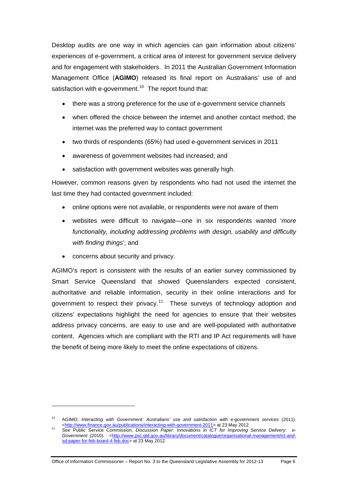Desktop audits are one way in which agencies can gain information about citizens' experiences of e-government, a critical area of interest for government service delivery and for engagement with stakeholders. In 2011 the Australian Government Information Management Office (**AGIMO**) released its final report on Australians' use of and satisfaction with e-government.<sup>[10](#page-11-0)</sup> The report found that:

- there was a strong preference for the use of e-government service channels
- when offered the choice between the internet and another contact method, the internet was the preferred way to contact government
- two thirds of respondents (65%) had used e-government services in 2011
- awareness of government websites had increased; and
- satisfaction with government websites was generally high.

However, common reasons given by respondents who had not used the internet the last time they had contacted government included:

- online options were not available, or respondents were not aware of them
- websites were difficult to navigate—one in six respondents wanted '*more functionality, including addressing problems with design, usability and difficulty with finding things*'; and
- concerns about security and privacy.

 $\overline{a}$ 

AGIMO's report is consistent with the results of an earlier survey commissioned by Smart Service Queensland that showed Queenslanders expected consistent, authoritative and reliable information, security in their online interactions and for government to respect their privacy.<sup>[11](#page-11-1)</sup> These surveys of technology adoption and citizens' expectations highlight the need for agencies to ensure that their websites address privacy concerns, are easy to use and are well-populated with authoritative content. Agencies which are compliant with the RTI and IP Act requirements will have the benefit of being more likely to meet the online expectations of citizens.

Office of Information Commissioner – Report No. 3 to the Queensland Legislative Assembly for 2012-13 Page 6

<span id="page-11-0"></span><sup>&</sup>lt;sup>10</sup> AGIMO, Interacting with Government: Australians' use and satisfaction with e-government services (2011).<br>
<http://www.finance.gov.au/publications/interacting-with-government-2011> at 23 May 2012.

<span id="page-11-1"></span><sup>&</sup>lt;sup>11</sup> See Public Service Commission, *Discussion Paper: Innovations in ICT for Improving Service Delivery: e-Government* (2010). <[http://www.psc.qld.gov.au/library/document/catalogue/organisational-management/ict-and](http://www.psc.qld.gov.au/library/document/catalogue/organisational-management/ict-and-sd-paper-for-feb-board-4-feb.doc)[sd-paper-for-feb-board-4-feb.doc](http://www.psc.qld.gov.au/library/document/catalogue/organisational-management/ict-and-sd-paper-for-feb-board-4-feb.doc)> at 23 May 2012.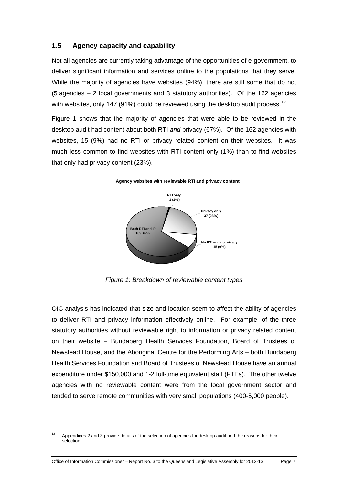## <span id="page-12-0"></span>**1.5 Agency capacity and capability**

Not all agencies are currently taking advantage of the opportunities of e-government, to deliver significant information and services online to the populations that they serve. While the majority of agencies have websites (94%), there are still some that do not  $(5$  agencies  $-2$  local governments and 3 statutory authorities). Of the 162 agencies with websites, only 147 (91%) could be reviewed using the desktop audit process.<sup>[12](#page-12-1)</sup>

Figure 1 shows that the majority of agencies that were able to be reviewed in the desktop audit had content about both RTI *and* privacy (67%). Of the 162 agencies with websites, 15 (9%) had no RTI or privacy related content on their websites. It was much less common to find websites with RTI content only (1%) than to find websites that only had privacy content (23%).



**Agency websites with reviewable RTI and privacy content**

*Figure 1: Breakdown of reviewable content types*

OIC analysis has indicated that size and location seem to affect the ability of agencies to deliver RTI and privacy information effectively online. For example, of the three statutory authorities without reviewable right to information or privacy related content on their website – Bundaberg Health Services Foundation, Board of Trustees of Newstead House, and the Aboriginal Centre for the Performing Arts – both Bundaberg Health Services Foundation and Board of Trustees of Newstead House have an annual expenditure under \$150,000 and 1-2 full-time equivalent staff (FTEs). The other twelve agencies with no reviewable content were from the local government sector and tended to serve remote communities with very small populations (400-5,000 people).

 $\overline{a}$ 

<span id="page-12-1"></span><sup>&</sup>lt;sup>12</sup> Appendices 2 and 3 provide details of the selection of agencies for desktop audit and the reasons for their selection.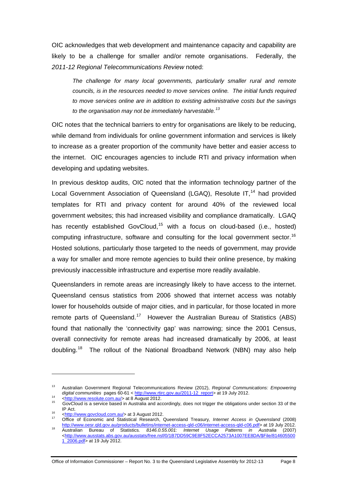OIC acknowledges that web development and maintenance capacity and capability are likely to be a challenge for smaller and/or remote organisations. Federally, the *2011-12 Regional Telecommunications Review* noted:

*The challenge for many local governments, particularly smaller rural and remote councils, is in the resources needed to move services online. The initial funds required to move services online are in addition to existing administrative costs but the savings to the organisation may not be immediately harvestable.[13](#page-13-0)*

OIC notes that the technical barriers to entry for organisations are likely to be reducing, while demand from individuals for online government information and services is likely to increase as a greater proportion of the community have better and easier access to the internet. OIC encourages agencies to include RTI and privacy information when developing and updating websites.

In previous desktop audits, OIC noted that the information technology partner of the Local Government Association of Queensland (LGAQ), Resolute IT,<sup>[14](#page-13-1)</sup> had provided templates for RTI and privacy content for around 40% of the reviewed local government websites; this had increased visibility and compliance dramatically. LGAQ has recently established GovCloud,<sup>[15](#page-13-2)</sup> with a focus on cloud-based (i.e., hosted) computing infrastructure, software and consulting for the local government sector.<sup>[16](#page-13-3)</sup> Hosted solutions, particularly those targeted to the needs of government, may provide a way for smaller and more remote agencies to build their online presence, by making previously inaccessible infrastructure and expertise more readily available.

Queenslanders in remote areas are increasingly likely to have access to the internet. Queensland census statistics from 2006 showed that internet access was notably lower for households outside of major cities, and in particular, for those located in more remote parts of Queensland.<sup>[17](#page-13-4)</sup> However the Australian Bureau of Statistics (ABS) found that nationally the 'connectivity gap' was narrowing; since the 2001 Census, overall connectivity for remote areas had increased dramatically by 2006, at least doubling.[18](#page-13-5) The rollout of the National Broadband Network (NBN) may also help

 $\overline{a}$ 

Office of Information Commissioner – Report No. 3 to the Queensland Legislative Assembly for 2012-13 Page 8

<span id="page-13-0"></span><sup>13</sup> Australian Government Regional Telecommunications Review (2012), *Regional Communications: Empowering* 

<span id="page-13-2"></span><span id="page-13-1"></span>of the community of the section of the section of the community of the section of the community of the distribution of the contract of the contract of the contract of the contract of the contract of the contract of the con IP Act.<br><sup>16</sup> [<http://www.govcloud.com.au/>](http://www.govcloud.com.au/) at 3 August 2012.<br><sup>17</sup> [Office of Economic and Sta](http://www.govcloud.com.au/)tistical Research, Queensland Treasury, *Internet Access in Queensland* (2008)

<span id="page-13-4"></span><span id="page-13-3"></span>[http://www.oesr.qld.gov.au/products/bulletins/internet-access-qld-c06/internet-access-qld-c06.pdf>](http://www.oesr.qld.gov.au/products/bulletins/internet-access-qld-c06/internet-access-qld-c06.pdf) at 19 July 2012. 18 Australian Bureau of Statistics*. 8146.0.55.001: Internet Usage Patterns in Australia* (2007)

<span id="page-13-5"></span>[<sup>&</sup>lt;http://www.ausstats.abs.gov.au/ausstats/free.nsf/0/1B7DD59C9E8F52ECCA2573A1007EE8DA/\\$File/814605500](http://www.ausstats.abs.gov.au/ausstats/free.nsf/0/1B7DD59C9E8F52ECCA2573A1007EE8DA/$File/8146055001_2006.pdf) [1\\_2006.pdf>](http://www.ausstats.abs.gov.au/ausstats/free.nsf/0/1B7DD59C9E8F52ECCA2573A1007EE8DA/$File/8146055001_2006.pdf) at 19 July 2012.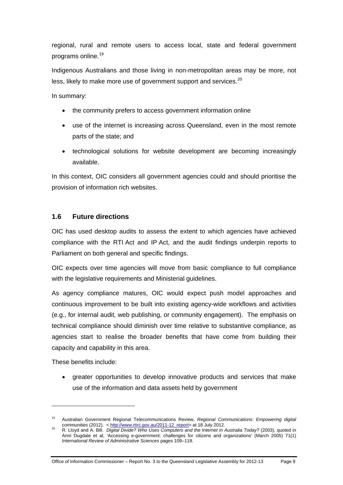regional, rural and remote users to access local, state and federal government programs online.[19](#page-14-1)

Indigenous Australians and those living in non-metropolitan areas may be more, not less, likely to make more use of government support and services.<sup>[20](#page-14-2)</sup>

In summary:

- the community prefers to access government information online
- use of the internet is increasing across Queensland, even in the most remote parts of the state; and
- technological solutions for website development are becoming increasingly available.

In this context, OIC considers all government agencies could and should prioritise the provision of information rich websites.

## <span id="page-14-0"></span>**1.6 Future directions**

OIC has used desktop audits to assess the extent to which agencies have achieved compliance with the RTI Act and IP Act, and the audit findings underpin reports to Parliament on both general and specific findings.

OIC expects over time agencies will move from basic compliance to full compliance with the legislative requirements and Ministerial guidelines.

As agency compliance matures, OIC would expect push model approaches and continuous improvement to be built into existing agency-wide workflows and activities (e.g., for internal audit, web publishing, or community engagement). The emphasis on technical compliance should diminish over time relative to substantive compliance, as agencies start to realise the broader benefits that have come from building their capacity and capability in this area.

These benefits include:

 $\overline{a}$ 

 greater opportunities to develop innovative products and services that make use of the information and data assets held by government

Office of Information Commissioner – Report No. 3 to the Queensland Legislative Assembly for 2012-13 Page 9

<span id="page-14-1"></span><sup>19</sup> Australian Government Regional Telecommunications Review, *Regional Communications: Empowering digital* 

<span id="page-14-2"></span>*communities* (2012). < [http://www.rtirc.gov.au/2011-12\\_report>](http://www.rtirc.gov.au/2011-12_report) at 18 July 2012. 20 R. Lloyd and A. Bill. *Digital Divide? Who Uses Computers and the Internet in Australia Today?* (2003), quoted in Anni Dugdale et al, 'Accessing e-government: challenges for citizens and organizations' (March 2005) 71(1) *International Review of Administrative Sciences* pages 109–118.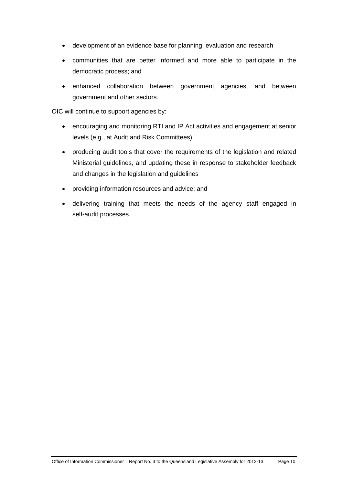- development of an evidence base for planning, evaluation and research
- communities that are better informed and more able to participate in the democratic process; and
- enhanced collaboration between government agencies, and between government and other sectors.

OIC will continue to support agencies by:

- encouraging and monitoring RTI and IP Act activities and engagement at senior levels (e.g., at Audit and Risk Committees)
- producing audit tools that cover the requirements of the legislation and related Ministerial guidelines, and updating these in response to stakeholder feedback and changes in the legislation and guidelines
- providing information resources and advice; and
- delivering training that meets the needs of the agency staff engaged in self-audit processes.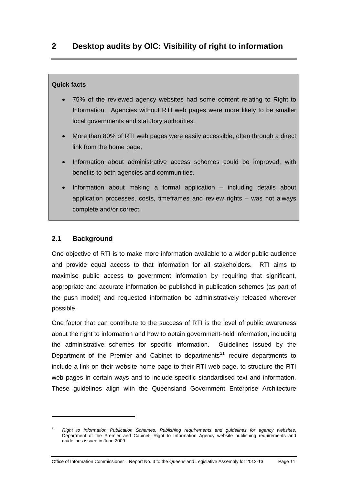## <span id="page-16-0"></span>**Quick facts**

- 75% of the reviewed agency websites had some content relating to Right to Information. Agencies without RTI web pages were more likely to be smaller local governments and statutory authorities.
- More than 80% of RTI web pages were easily accessible, often through a direct link from the home page.
- Information about administrative access schemes could be improved, with benefits to both agencies and communities.
- Information about making a formal application including details about application processes, costs, timeframes and review rights – was not always complete and/or correct.

## <span id="page-16-1"></span>**2.1 Background**

 $\overline{a}$ 

One objective of RTI is to make more information available to a wider public audience and provide equal access to that information for all stakeholders. RTI aims to maximise public access to government information by requiring that significant, appropriate and accurate information be published in publication schemes (as part of the push model) and requested information be administratively released wherever possible.

One factor that can contribute to the success of RTI is the level of public awareness about the right to information and how to obtain government-held information, including the administrative schemes for specific information. Guidelines issued by the Department of the Premier and Cabinet to departments<sup>[21](#page-16-2)</sup> require departments to include a link on their website home page to their RTI web page, to structure the RTI web pages in certain ways and to include specific standardised text and information. These guidelines align with the Queensland Government Enterprise Architecture

<span id="page-16-2"></span><sup>21</sup> *Right to Information Publication Schemes, Publishing requirements and guidelines for agency websites*, Department of the Premier and Cabinet, Right to Information Agency website publishing requirements and guidelines issued in June 2009.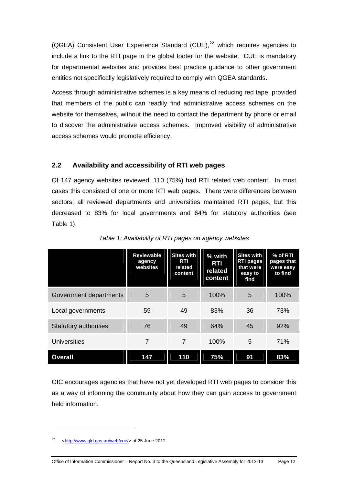(QGEA) Consistent User Experience Standard (CUE), $^{22}$  $^{22}$  $^{22}$  which requires agencies to include a link to the RTI page in the global footer for the website. CUE is mandatory for departmental websites and provides best practice guidance to other government entities not specifically legislatively required to comply with QGEA standards.

Access through administrative schemes is a key means of reducing red tape, provided that members of the public can readily find administrative access schemes on the website for themselves, without the need to contact the department by phone or email to discover the administrative access schemes. Improved visibility of administrative access schemes would promote efficiency.

## <span id="page-17-0"></span>**2.2 Availability and accessibility of RTI web pages**

Of 147 agency websites reviewed, 110 (75%) had RTI related web content. In most cases this consisted of one or more RTI web pages. There were differences between sectors; all reviewed departments and universities maintained RTI pages, but this decreased to 83% for local governments and 64% for statutory authorities (see Table 1).

|                              | <b>Reviewable</b><br>agency<br>websites | <b>Sites with</b><br>RTI<br>related<br>content | % with<br><b>RTI</b><br>related<br>content | <b>Sites with</b><br><b>RTI pages</b><br>that were<br>easy to<br>find | % of RTI<br>pages that<br>were easy<br>to find |
|------------------------------|-----------------------------------------|------------------------------------------------|--------------------------------------------|-----------------------------------------------------------------------|------------------------------------------------|
| Government departments       | 5                                       | 5                                              | 100%                                       | 5                                                                     | 100%                                           |
| Local governments            | 59                                      | 49                                             | 83%                                        | 36                                                                    | 73%                                            |
| <b>Statutory authorities</b> | 76                                      | 49                                             | 64%                                        | 45                                                                    | 92%                                            |
| <b>Universities</b>          | 7                                       | 7                                              | 100%                                       | 5                                                                     | 71%                                            |
| <b>Overall</b>               | 147                                     | 110                                            | 75%                                        | 91                                                                    | 83%                                            |

*Table 1: Availability of RTI pages on agency websites* 

OIC encourages agencies that have not yet developed RTI web pages to consider this as a way of informing the community about how they can gain access to government held information.

 $\overline{a}$ 

<span id="page-17-1"></span><sup>22 &</sup>lt;<http://www.qld.gov.au/web/cue/>> at 25 June 2012.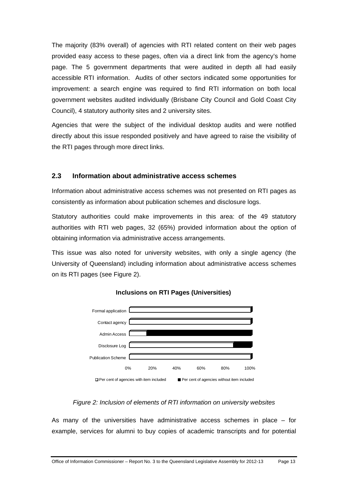The majority (83% overall) of agencies with RTI related content on their web pages provided easy access to these pages, often via a direct link from the agency's home page. The 5 government departments that were audited in depth all had easily accessible RTI information. Audits of other sectors indicated some opportunities for improvement: a search engine was required to find RTI information on both local government websites audited individually (Brisbane City Council and Gold Coast City Council), 4 statutory authority sites and 2 university sites.

Agencies that were the subject of the individual desktop audits and were notified directly about this issue responded positively and have agreed to raise the visibility of the RTI pages through more direct links.

### <span id="page-18-0"></span>**2.3 Information about administrative access schemes**

Information about administrative access schemes was not presented on RTI pages as consistently as information about publication schemes and disclosure logs.

Statutory authorities could make improvements in this area: of the 49 statutory authorities with RTI web pages, 32 (65%) provided information about the option of obtaining information via administrative access arrangements.

This issue was also noted for university websites, with only a single agency (the University of Queensland) including information about administrative access schemes on its RTI pages (see Figure 2).



**Inclusions on RTI Pages (Universities)**

#### *Figure 2: Inclusion of elements of RTI information on university websites*

As many of the universities have administrative access schemes in place – for example, services for alumni to buy copies of academic transcripts and for potential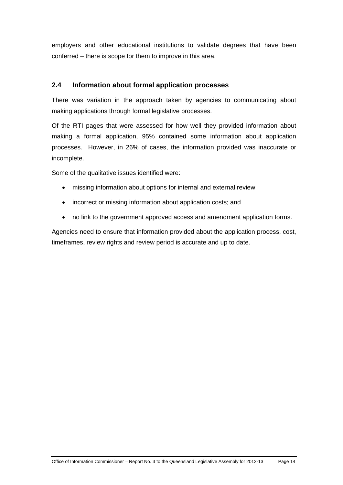employers and other educational institutions to validate degrees that have been conferred – there is scope for them to improve in this area.

## <span id="page-19-0"></span>**2.4 Information about formal application processes**

There was variation in the approach taken by agencies to communicating about making applications through formal legislative processes.

Of the RTI pages that were assessed for how well they provided information about making a formal application, 95% contained some information about application processes. However, in 26% of cases, the information provided was inaccurate or incomplete.

Some of the qualitative issues identified were:

- missing information about options for internal and external review
- incorrect or missing information about application costs; and
- no link to the government approved access and amendment application forms.

Agencies need to ensure that information provided about the application process, cost, timeframes, review rights and review period is accurate and up to date.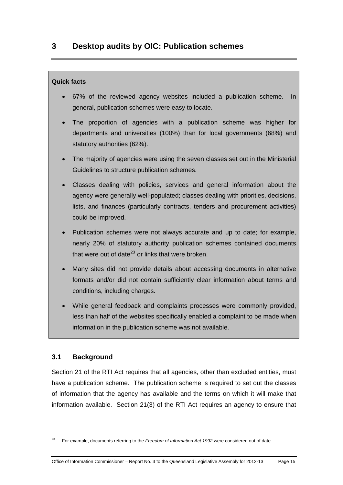### <span id="page-20-0"></span>**Quick facts**

- 67% of the reviewed agency websites included a publication scheme. In general, publication schemes were easy to locate.
- The proportion of agencies with a publication scheme was higher for departments and universities (100%) than for local governments (68%) and statutory authorities (62%).
- The majority of agencies were using the seven classes set out in the Ministerial Guidelines to structure publication schemes.
- Classes dealing with policies, services and general information about the agency were generally well-populated; classes dealing with priorities, decisions, lists, and finances (particularly contracts, tenders and procurement activities) could be improved.
- Publication schemes were not always accurate and up to date; for example, nearly 20% of statutory authority publication schemes contained documents that were out of date $^{23}$  $^{23}$  $^{23}$  or links that were broken.
- Many sites did not provide details about accessing documents in alternative formats and/or did not contain sufficiently clear information about terms and conditions, including charges.
- While general feedback and complaints processes were commonly provided, less than half of the websites specifically enabled a complaint to be made when information in the publication scheme was not available.

## <span id="page-20-1"></span>**3.1 Background**

 $\overline{a}$ 

Section 21 of the RTI Act requires that all agencies, other than excluded entities, must have a publication scheme. The publication scheme is required to set out the classes of information that the agency has available and the terms on which it will make that information available. Section 21(3) of the RTI Act requires an agency to ensure that

<span id="page-20-2"></span><sup>23</sup> For example, documents referring to the *Freedom of Information Act 1992* were considered out of date.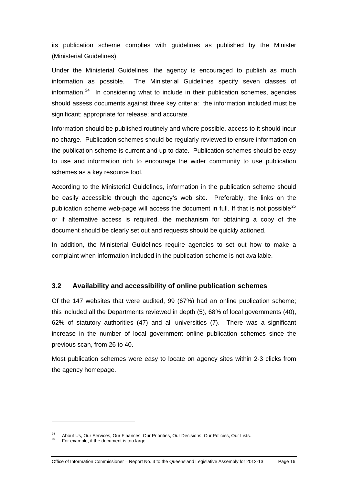its publication scheme complies with guidelines as published by the Minister (Ministerial Guidelines).

Under the Ministerial Guidelines, the agency is encouraged to publish as much information as possible. The Ministerial Guidelines specify seven classes of information. $24$  In considering what to include in their publication schemes, agencies should assess documents against three key criteria: the information included must be significant; appropriate for release; and accurate.

Information should be published routinely and where possible, access to it should incur no charge. Publication schemes should be regularly reviewed to ensure information on the publication scheme is current and up to date. Publication schemes should be easy to use and information rich to encourage the wider community to use publication schemes as a key resource tool.

According to the Ministerial Guidelines, information in the publication scheme should be easily accessible through the agency's web site. Preferably, the links on the publication scheme web-page will access the document in full. If that is not possible<sup>[25](#page-21-2)</sup> or if alternative access is required, the mechanism for obtaining a copy of the document should be clearly set out and requests should be quickly actioned.

In addition, the Ministerial Guidelines require agencies to set out how to make a complaint when information included in the publication scheme is not available.

### <span id="page-21-0"></span>**3.2 Availability and accessibility of online publication schemes**

Of the 147 websites that were audited, 99 (67%) had an online publication scheme; this included all the Departments reviewed in depth (5), 68% of local governments (40), 62% of statutory authorities (47) and all universities (7). There was a significant increase in the number of local government online publication schemes since the previous scan, from 26 to 40.

Most publication schemes were easy to locate on agency sites within 2-3 clicks from the agency homepage.

 $\overline{a}$ 

<span id="page-21-1"></span><sup>&</sup>lt;sup>24</sup> About Us, Our Services, Our Finances, Our Priorities, Our Decisions, Our Policies, Our Lists.<br><sup>25</sup> For example, if the document is too large.

<span id="page-21-2"></span>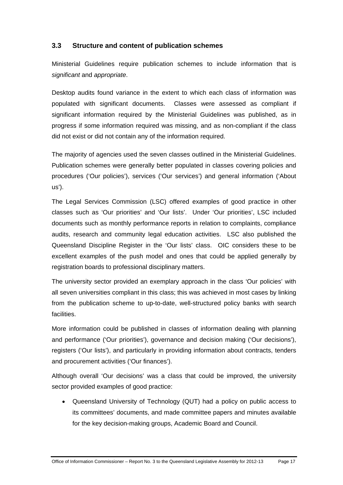## <span id="page-22-0"></span>**3.3 Structure and content of publication schemes**

Ministerial Guidelines require publication schemes to include information that is *significant* and *appropriate*.

Desktop audits found variance in the extent to which each class of information was populated with significant documents. Classes were assessed as compliant if significant information required by the Ministerial Guidelines was published, as in progress if some information required was missing, and as non-compliant if the class did not exist or did not contain any of the information required.

The majority of agencies used the seven classes outlined in the Ministerial Guidelines. Publication schemes were generally better populated in classes covering policies and procedures ('Our policies'), services ('Our services') and general information ('About us').

The Legal Services Commission (LSC) offered examples of good practice in other classes such as 'Our priorities' and 'Our lists'. Under 'Our priorities', LSC included documents such as monthly performance reports in relation to complaints, compliance audits, research and community legal education activities. LSC also published the Queensland Discipline Register in the 'Our lists' class. OIC considers these to be excellent examples of the push model and ones that could be applied generally by registration boards to professional disciplinary matters.

The university sector provided an exemplary approach in the class 'Our policies' with all seven universities compliant in this class; this was achieved in most cases by linking from the publication scheme to up-to-date, well-structured policy banks with search facilities.

More information could be published in classes of information dealing with planning and performance ('Our priorities'), governance and decision making ('Our decisions'), registers ('Our lists'), and particularly in providing information about contracts, tenders and procurement activities ('Our finances').

Although overall 'Our decisions' was a class that could be improved, the university sector provided examples of good practice:

 Queensland University of Technology (QUT) had a policy on public access to its committees' documents, and made committee papers and minutes available for the key decision-making groups, Academic Board and Council.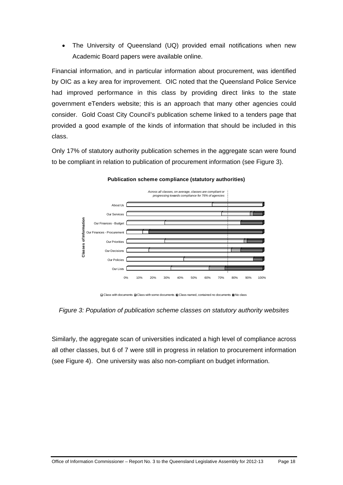The University of Queensland (UQ) provided email notifications when new Academic Board papers were available online.

Financial information, and in particular information about procurement, was identified by OIC as a key area for improvement. OIC noted that the Queensland Police Service had improved performance in this class by providing direct links to the state government eTenders website; this is an approach that many other agencies could consider. Gold Coast City Council's publication scheme linked to a tenders page that provided a good example of the kinds of information that should be included in this class.

Only 17% of statutory authority publication schemes in the aggregate scan were found to be compliant in relation to publication of procurement information (see Figure 3).



**Publication scheme compliance (statutory authorities)**

Class with documents Class with some documents Class named, contained no documents No class

*Figure 3: Population of publication scheme classes on statutory authority websites* 

Similarly, the aggregate scan of universities indicated a high level of compliance across all other classes, but 6 of 7 were still in progress in relation to procurement information (see Figure 4). One university was also non-compliant on budget information.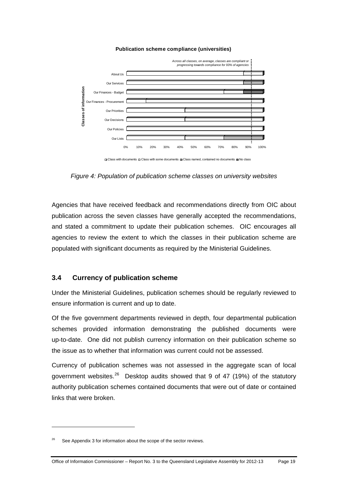#### **Publication scheme compliance (universities)**



Class with documents Class with some documents Class named, contained no documents No class

*Figure 4: Population of publication scheme classes on university websites* 

Agencies that have received feedback and recommendations directly from OIC about publication across the seven classes have generally accepted the recommendations, and stated a commitment to update their publication schemes. OIC encourages all agencies to review the extent to which the classes in their publication scheme are populated with significant documents as required by the Ministerial Guidelines.

#### <span id="page-24-0"></span>**3.4 Currency of publication scheme**

Under the Ministerial Guidelines, publication schemes should be regularly reviewed to ensure information is current and up to date.

Of the five government departments reviewed in depth, four departmental publication schemes provided information demonstrating the published documents were up-to-date. One did not publish currency information on their publication scheme so the issue as to whether that information was current could not be assessed.

Currency of publication schemes was not assessed in the aggregate scan of local government websites.<sup>[26](#page-24-1)</sup> Desktop audits showed that 9 of 47 (19%) of the statutory authority publication schemes contained documents that were out of date or contained links that were broken.

 $\overline{a}$ 

<span id="page-24-1"></span>See Appendix 3 for information about the scope of the sector reviews.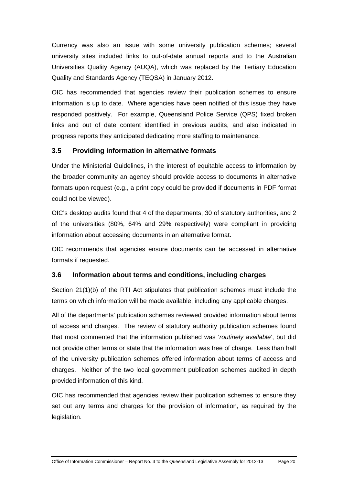Currency was also an issue with some university publication schemes; several university sites included links to out-of-date annual reports and to the Australian Universities Quality Agency (AUQA), which was replaced by the Tertiary Education Quality and Standards Agency (TEQSA) in January 2012.

OIC has recommended that agencies review their publication schemes to ensure information is up to date. Where agencies have been notified of this issue they have responded positively. For example, Queensland Police Service (QPS) fixed broken links and out of date content identified in previous audits, and also indicated in progress reports they anticipated dedicating more staffing to maintenance.

## <span id="page-25-0"></span>**3.5 Providing information in alternative formats**

Under the Ministerial Guidelines, in the interest of equitable access to information by the broader community an agency should provide access to documents in alternative formats upon request (e.g., a print copy could be provided if documents in PDF format could not be viewed).

OIC's desktop audits found that 4 of the departments, 30 of statutory authorities, and 2 of the universities (80%, 64% and 29% respectively) were compliant in providing information about accessing documents in an alternative format.

OIC recommends that agencies ensure documents can be accessed in alternative formats if requested.

### <span id="page-25-1"></span>**3.6 Information about terms and conditions, including charges**

Section 21(1)(b) of the RTI Act stipulates that publication schemes must include the terms on which information will be made available, including any applicable charges.

All of the departments' publication schemes reviewed provided information about terms of access and charges. The review of statutory authority publication schemes found that most commented that the information published was '*routinely available*', but did not provide other terms or state that the information was free of charge. Less than half of the university publication schemes offered information about terms of access and charges. Neither of the two local government publication schemes audited in depth provided information of this kind.

OIC has recommended that agencies review their publication schemes to ensure they set out any terms and charges for the provision of information, as required by the legislation.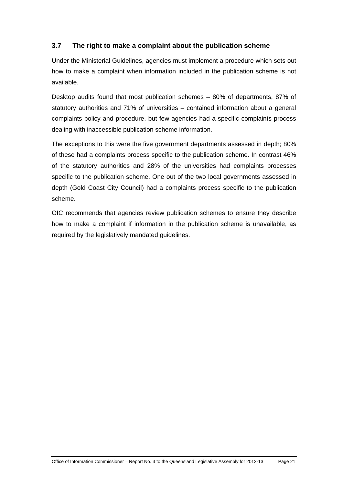## <span id="page-26-0"></span>**3.7 The right to make a complaint about the publication scheme**

Under the Ministerial Guidelines, agencies must implement a procedure which sets out how to make a complaint when information included in the publication scheme is not available.

Desktop audits found that most publication schemes – 80% of departments, 87% of statutory authorities and 71% of universities – contained information about a general complaints policy and procedure, but few agencies had a specific complaints process dealing with inaccessible publication scheme information.

The exceptions to this were the five government departments assessed in depth; 80% of these had a complaints process specific to the publication scheme. In contrast 46% of the statutory authorities and 28% of the universities had complaints processes specific to the publication scheme. One out of the two local governments assessed in depth (Gold Coast City Council) had a complaints process specific to the publication scheme.

OIC recommends that agencies review publication schemes to ensure they describe how to make a complaint if information in the publication scheme is unavailable, as required by the legislatively mandated guidelines.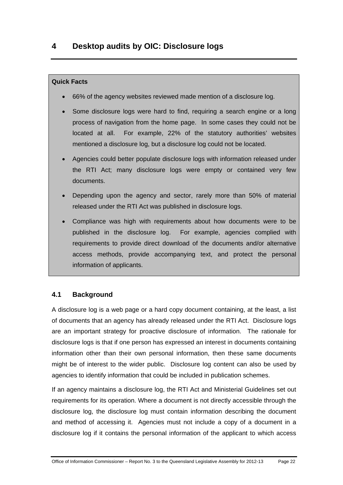#### <span id="page-27-0"></span>**Quick Facts**

- 66% of the agency websites reviewed made mention of a disclosure log.
- Some disclosure logs were hard to find, requiring a search engine or a long process of navigation from the home page. In some cases they could not be located at all. For example, 22% of the statutory authorities' websites mentioned a disclosure log, but a disclosure log could not be located.
- Agencies could better populate disclosure logs with information released under the RTI Act; many disclosure logs were empty or contained very few documents.
- Depending upon the agency and sector, rarely more than 50% of material released under the RTI Act was published in disclosure logs.
- Compliance was high with requirements about how documents were to be published in the disclosure log. For example, agencies complied with requirements to provide direct download of the documents and/or alternative access methods, provide accompanying text, and protect the personal information of applicants.

### <span id="page-27-1"></span>**4.1 Background**

A disclosure log is a web page or a hard copy document containing, at the least, a list of documents that an agency has already released under the RTI Act. Disclosure logs are an important strategy for proactive disclosure of information. The rationale for disclosure logs is that if one person has expressed an interest in documents containing information other than their own personal information, then these same documents might be of interest to the wider public. Disclosure log content can also be used by agencies to identify information that could be included in publication schemes.

If an agency maintains a disclosure log, the RTI Act and Ministerial Guidelines set out requirements for its operation. Where a document is not directly accessible through the disclosure log, the disclosure log must contain information describing the document and method of accessing it. Agencies must not include a copy of a document in a disclosure log if it contains the personal information of the applicant to which access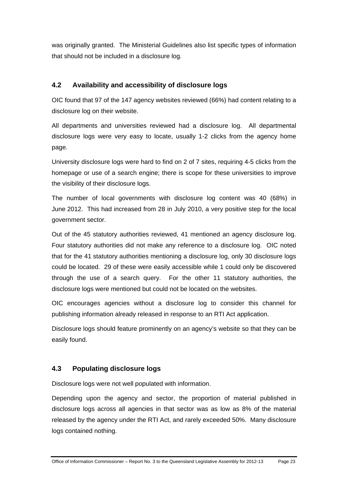was originally granted. The Ministerial Guidelines also list specific types of information that should not be included in a disclosure log.

## <span id="page-28-0"></span>**4.2 Availability and accessibility of disclosure logs**

OIC found that 97 of the 147 agency websites reviewed (66%) had content relating to a disclosure log on their website.

All departments and universities reviewed had a disclosure log. All departmental disclosure logs were very easy to locate, usually 1-2 clicks from the agency home page.

University disclosure logs were hard to find on 2 of 7 sites, requiring 4-5 clicks from the homepage or use of a search engine; there is scope for these universities to improve the visibility of their disclosure logs.

The number of local governments with disclosure log content was 40 (68%) in June 2012. This had increased from 28 in July 2010, a very positive step for the local government sector.

Out of the 45 statutory authorities reviewed, 41 mentioned an agency disclosure log. Four statutory authorities did not make any reference to a disclosure log. OIC noted that for the 41 statutory authorities mentioning a disclosure log, only 30 disclosure logs could be located. 29 of these were easily accessible while 1 could only be discovered through the use of a search query. For the other 11 statutory authorities, the disclosure logs were mentioned but could not be located on the websites.

OIC encourages agencies without a disclosure log to consider this channel for publishing information already released in response to an RTI Act application.

Disclosure logs should feature prominently on an agency's website so that they can be easily found.

## <span id="page-28-1"></span>**4.3 Populating disclosure logs**

Disclosure logs were not well populated with information.

Depending upon the agency and sector, the proportion of material published in disclosure logs across all agencies in that sector was as low as 8% of the material released by the agency under the RTI Act, and rarely exceeded 50%. Many disclosure logs contained nothing.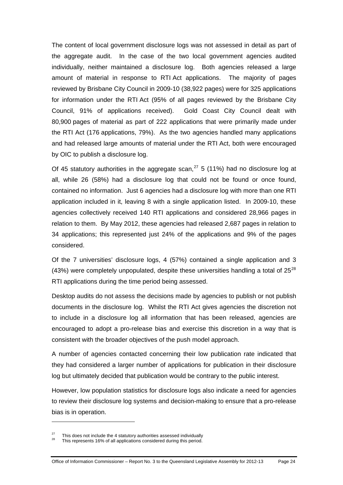The content of local government disclosure logs was not assessed in detail as part of the aggregate audit. In the case of the two local government agencies audited individually, neither maintained a disclosure log. Both agencies released a large amount of material in response to RTI Act applications. The majority of pages reviewed by Brisbane City Council in 2009-10 (38,922 pages) were for 325 applications for information under the RTI Act (95% of all pages reviewed by the Brisbane City Council, 91% of applications received). Gold Coast City Council dealt with 80,900 pages of material as part of 222 applications that were primarily made under the RTI Act (176 applications, 79%). As the two agencies handled many applications and had released large amounts of material under the RTI Act, both were encouraged by OIC to publish a disclosure log.

Of 45 statutory authorities in the aggregate scan,  $27$  5 (11%) had no disclosure log at all, while 26 (58%) had a disclosure log that could not be found or once found, contained no information. Just 6 agencies had a disclosure log with more than one RTI application included in it, leaving 8 with a single application listed. In 2009-10, these agencies collectively received 140 RTI applications and considered 28,966 pages in relation to them. By May 2012, these agencies had released 2,687 pages in relation to 34 applications; this represented just 24% of the applications and 9% of the pages considered.

Of the 7 universities' disclosure logs, 4 (57%) contained a single application and 3 (43%) were completely unpopulated, despite these universities handling a total of  $25^{28}$  $25^{28}$  $25^{28}$ RTI applications during the time period being assessed.

Desktop audits do not assess the decisions made by agencies to publish or not publish documents in the disclosure log. Whilst the RTI Act gives agencies the discretion not to include in a disclosure log all information that has been released, agencies are encouraged to adopt a pro-release bias and exercise this discretion in a way that is consistent with the broader objectives of the push model approach.

A number of agencies contacted concerning their low publication rate indicated that they had considered a larger number of applications for publication in their disclosure log but ultimately decided that publication would be contrary to the public interest.

However, low population statistics for disclosure logs also indicate a need for agencies to review their disclosure log systems and decision-making to ensure that a pro-release bias is in operation.

 $\overline{a}$ 

<span id="page-29-1"></span><span id="page-29-0"></span><sup>&</sup>lt;sup>27</sup> This does not include the 4 statutory authorities assessed individually  $^{28}$  This represents 16% of all applications considered during this period.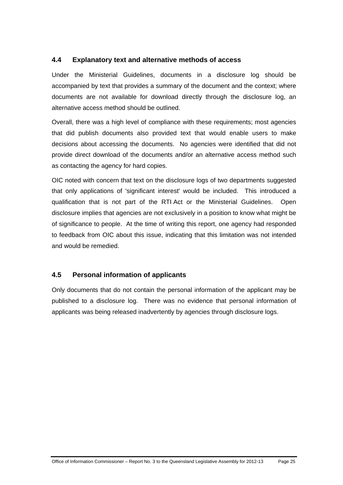## <span id="page-30-0"></span>**4.4 Explanatory text and alternative methods of access**

Under the Ministerial Guidelines, documents in a disclosure log should be accompanied by text that provides a summary of the document and the context; where documents are not available for download directly through the disclosure log, an alternative access method should be outlined.

Overall, there was a high level of compliance with these requirements; most agencies that did publish documents also provided text that would enable users to make decisions about accessing the documents. No agencies were identified that did not provide direct download of the documents and/or an alternative access method such as contacting the agency for hard copies.

OIC noted with concern that text on the disclosure logs of two departments suggested that only applications of 'significant interest' would be included. This introduced a qualification that is not part of the RTI Act or the Ministerial Guidelines. Open disclosure implies that agencies are not exclusively in a position to know what might be of significance to people. At the time of writing this report, one agency had responded to feedback from OIC about this issue, indicating that this limitation was not intended and would be remedied.

## <span id="page-30-1"></span>**4.5 Personal information of applicants**

Only documents that do not contain the personal information of the applicant may be published to a disclosure log. There was no evidence that personal information of applicants was being released inadvertently by agencies through disclosure logs.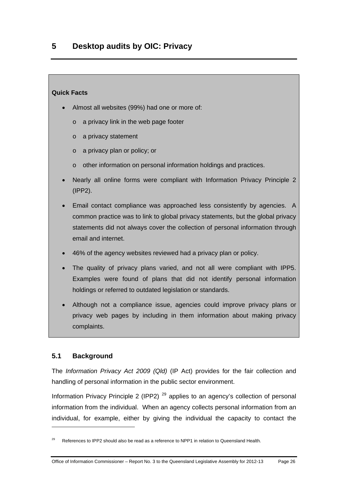#### <span id="page-31-0"></span>**Quick Facts**

- Almost all websites (99%) had one or more of:
	- o a privacy link in the web page footer
	- o a privacy statement
	- o a privacy plan or policy; or
	- o other information on personal information holdings and practices.
- Nearly all online forms were compliant with Information Privacy Principle 2 (IPP2).
- Email contact compliance was approached less consistently by agencies. A common practice was to link to global privacy statements, but the global privacy statements did not always cover the collection of personal information through email and internet.
- 46% of the agency websites reviewed had a privacy plan or policy.
- The quality of privacy plans varied, and not all were compliant with IPP5. Examples were found of plans that did not identify personal information holdings or referred to outdated legislation or standards.
- Although not a compliance issue, agencies could improve privacy plans or privacy web pages by including in them information about making privacy complaints.

### <span id="page-31-1"></span>**5.1 Background**

 $\overline{a}$ 

The *Information Privacy Act 2009 (Qld)* (IP Act) provides for the fair collection and handling of personal information in the public sector environment.

Information Privacy Principle 2 (IPP2)<sup>[29](#page-31-2)</sup> applies to an agency's collection of personal information from the individual. When an agency collects personal information from an individual, for example, either by giving the individual the capacity to contact the

<span id="page-31-2"></span>References to IPP2 should also be read as a reference to NPP1 in relation to Queensland Health.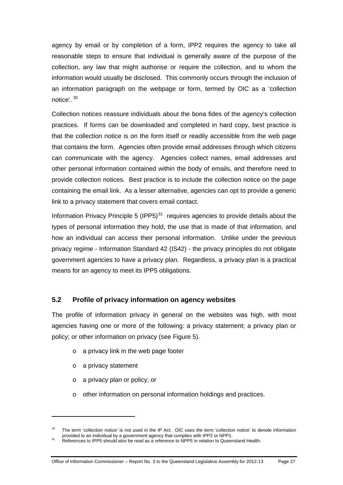agency by email or by completion of a form, IPP2 requires the agency to take all reasonable steps to ensure that individual is generally aware of the purpose of the collection, any law that might authorise or require the collection, and to whom the information would usually be disclosed. This commonly occurs through the inclusion of an information paragraph on the webpage or form, termed by OIC as a 'collection notice'. [30](#page-32-1)

Collection notices reassure individuals about the bona fides of the agency's collection practices. If forms can be downloaded and completed in hard copy, best practice is that the collection notice is on the form itself or readily accessible from the web page that contains the form. Agencies often provide email addresses through which citizens can communicate with the agency. Agencies collect names, email addresses and other personal information contained within the body of emails, and therefore need to provide collection notices. Best practice is to include the collection notice on the page containing the email link. As a lesser alternative, agencies can opt to provide a generic link to a privacy statement that covers email contact.

Information Privacy Principle 5 (IPP5) $31$  requires agencies to provide details about the types of personal information they hold, the use that is made of that information, and how an individual can access their personal information. Unlike under the previous privacy regime - Information Standard 42 (IS42) - the privacy principles do not obligate government agencies to have a privacy plan. Regardless, a privacy plan is a practical means for an agency to meet its IPP5 obligations.

### <span id="page-32-0"></span>**5.2 Profile of privacy information on agency websites**

The profile of information privacy in general on the websites was high, with most agencies having one or more of the following: a privacy statement; a privacy plan or policy; or other information on privacy (see Figure 5).

- o a privacy link in the web page footer
- o a privacy statement

 $\overline{a}$ 

- o a privacy plan or policy; or
- o other information on personal information holdings and practices.

<span id="page-32-1"></span><sup>&</sup>lt;sup>30</sup> The term 'collection notice' is not used in the IP Act. OIC uses the term 'collection notice' to denote information provided to an individual by a government agency that complies with IPP2 or NPP1.

<span id="page-32-2"></span>provided to an individual by a government agency that complies with IPP2 or NPP1.<br><sup>31</sup> References to IPP5 should also be read as a reference to NPP5 in relation to Queensland Health.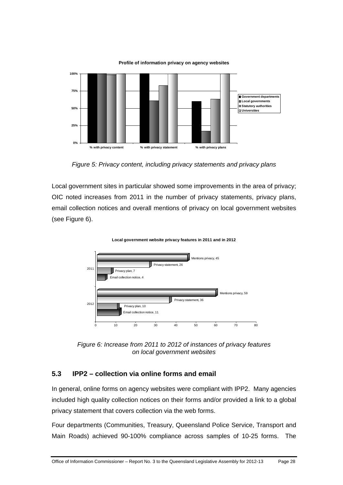

**Profile of information privacy on agency websites**

Local government sites in particular showed some improvements in the area of privacy; OIC noted increases from 2011 in the number of privacy statements, privacy plans, email collection notices and overall mentions of privacy on local government websites (see Figure 6).



**Local government website privacy features in 2011 and in 2012**

*Figure 6: Increase from 2011 to 2012 of instances of privacy features on local government websites* 

### <span id="page-33-0"></span>**5.3 IPP2 – collection via online forms and email**

In general, online forms on agency websites were compliant with IPP2. Many agencies included high quality collection notices on their forms and/or provided a link to a global privacy statement that covers collection via the web forms.

Four departments (Communities, Treasury, Queensland Police Service, Transport and Main Roads) achieved 90-100% compliance across samples of 10-25 forms. The

*Figure 5: Privacy content, including privacy statements and privacy plans*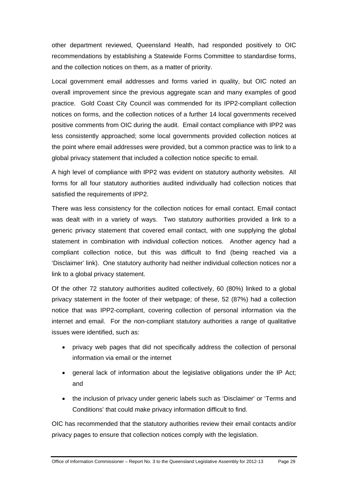other department reviewed, Queensland Health, had responded positively to OIC recommendations by establishing a Statewide Forms Committee to standardise forms, and the collection notices on them, as a matter of priority.

Local government email addresses and forms varied in quality, but OIC noted an overall improvement since the previous aggregate scan and many examples of good practice. Gold Coast City Council was commended for its IPP2-compliant collection notices on forms, and the collection notices of a further 14 local governments received positive comments from OIC during the audit. Email contact compliance with IPP2 was less consistently approached; some local governments provided collection notices at the point where email addresses were provided, but a common practice was to link to a global privacy statement that included a collection notice specific to email.

A high level of compliance with IPP2 was evident on statutory authority websites. All forms for all four statutory authorities audited individually had collection notices that satisfied the requirements of IPP2.

There was less consistency for the collection notices for email contact. Email contact was dealt with in a variety of ways. Two statutory authorities provided a link to a generic privacy statement that covered email contact, with one supplying the global statement in combination with individual collection notices. Another agency had a compliant collection notice, but this was difficult to find (being reached via a 'Disclaimer' link). One statutory authority had neither individual collection notices nor a link to a global privacy statement.

Of the other 72 statutory authorities audited collectively, 60 (80%) linked to a global privacy statement in the footer of their webpage; of these, 52 (87%) had a collection notice that was IPP2-compliant, covering collection of personal information via the internet and email. For the non-compliant statutory authorities a range of qualitative issues were identified, such as:

- privacy web pages that did not specifically address the collection of personal information via email or the internet
- general lack of information about the legislative obligations under the IP Act; and
- the inclusion of privacy under generic labels such as 'Disclaimer' or 'Terms and Conditions' that could make privacy information difficult to find.

OIC has recommended that the statutory authorities review their email contacts and/or privacy pages to ensure that collection notices comply with the legislation.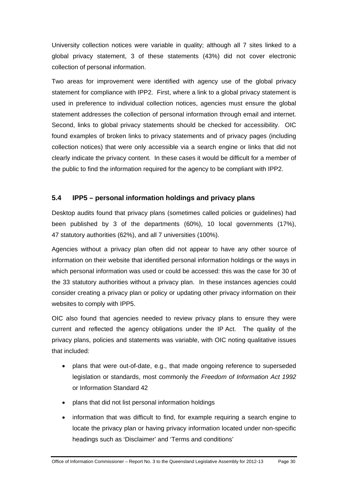University collection notices were variable in quality; although all 7 sites linked to a global privacy statement, 3 of these statements (43%) did not cover electronic collection of personal information.

Two areas for improvement were identified with agency use of the global privacy statement for compliance with IPP2. First, where a link to a global privacy statement is used in preference to individual collection notices, agencies must ensure the global statement addresses the collection of personal information through email and internet. Second, links to global privacy statements should be checked for accessibility. OIC found examples of broken links to privacy statements and of privacy pages (including collection notices) that were only accessible via a search engine or links that did not clearly indicate the privacy content. In these cases it would be difficult for a member of the public to find the information required for the agency to be compliant with IPP2.

## <span id="page-35-0"></span>**5.4 IPP5 – personal information holdings and privacy plans**

Desktop audits found that privacy plans (sometimes called policies or guidelines) had been published by 3 of the departments (60%), 10 local governments (17%), 47 statutory authorities (62%), and all 7 universities (100%).

Agencies without a privacy plan often did not appear to have any other source of information on their website that identified personal information holdings or the ways in which personal information was used or could be accessed: this was the case for 30 of the 33 statutory authorities without a privacy plan. In these instances agencies could consider creating a privacy plan or policy or updating other privacy information on their websites to comply with IPP5.

OIC also found that agencies needed to review privacy plans to ensure they were current and reflected the agency obligations under the IP Act. The quality of the privacy plans, policies and statements was variable, with OIC noting qualitative issues that included:

- plans that were out-of-date, e.g., that made ongoing reference to superseded legislation or standards, most commonly the *Freedom of Information Act 1992* or Information Standard 42
- plans that did not list personal information holdings
- information that was difficult to find, for example requiring a search engine to locate the privacy plan or having privacy information located under non-specific headings such as 'Disclaimer' and 'Terms and conditions'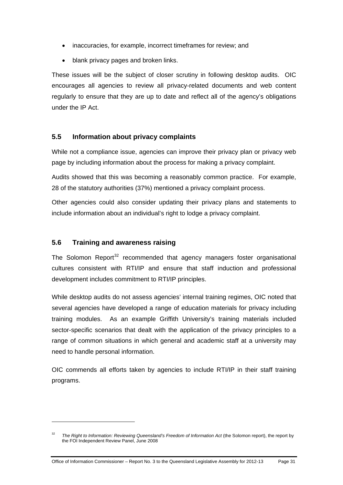- inaccuracies, for example, incorrect timeframes for review; and
- blank privacy pages and broken links.

These issues will be the subject of closer scrutiny in following desktop audits. OIC encourages all agencies to review all privacy-related documents and web content regularly to ensure that they are up to date and reflect all of the agency's obligations under the IP Act.

### <span id="page-36-0"></span>**5.5 Information about privacy complaints**

While not a compliance issue, agencies can improve their privacy plan or privacy web page by including information about the process for making a privacy complaint.

Audits showed that this was becoming a reasonably common practice. For example, 28 of the statutory authorities (37%) mentioned a privacy complaint process.

Other agencies could also consider updating their privacy plans and statements to include information about an individual's right to lodge a privacy complaint.

#### <span id="page-36-1"></span>**5.6 Training and awareness raising**

 $\overline{a}$ 

The Solomon Report<sup>[32](#page-36-2)</sup> recommended that agency managers foster organisational cultures consistent with RTI/IP and ensure that staff induction and professional development includes commitment to RTI/IP principles.

While desktop audits do not assess agencies' internal training regimes, OIC noted that several agencies have developed a range of education materials for privacy including training modules. As an example Griffith University's training materials included sector-specific scenarios that dealt with the application of the privacy principles to a range of common situations in which general and academic staff at a university may need to handle personal information.

OIC commends all efforts taken by agencies to include RTI/IP in their staff training programs.

<span id="page-36-2"></span><sup>32</sup> *The Right to Information: Reviewing Queensland's Freedom of Information Act* (the Solomon report), the report by the FOI Independent Review Panel, June 2008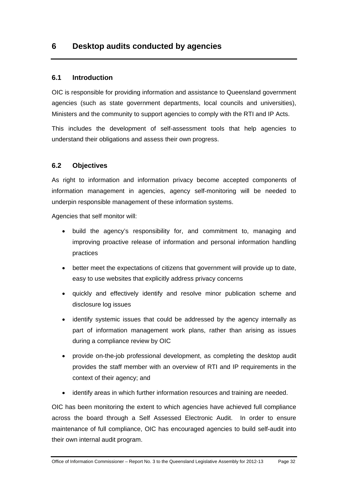## <span id="page-37-0"></span>**6 Desktop audits conducted by agencies**

#### <span id="page-37-1"></span>**6.1 Introduction**

OIC is responsible for providing information and assistance to Queensland government agencies (such as state government departments, local councils and universities), Ministers and the community to support agencies to comply with the RTI and IP Acts.

This includes the development of self-assessment tools that help agencies to understand their obligations and assess their own progress.

#### <span id="page-37-2"></span>**6.2 Objectives**

As right to information and information privacy become accepted components of information management in agencies, agency self-monitoring will be needed to underpin responsible management of these information systems.

Agencies that self monitor will:

- build the agency's responsibility for, and commitment to, managing and improving proactive release of information and personal information handling practices
- better meet the expectations of citizens that government will provide up to date, easy to use websites that explicitly address privacy concerns
- quickly and effectively identify and resolve minor publication scheme and disclosure log issues
- identify systemic issues that could be addressed by the agency internally as part of information management work plans, rather than arising as issues during a compliance review by OIC
- provide on-the-job professional development, as completing the desktop audit provides the staff member with an overview of RTI and IP requirements in the context of their agency; and
- identify areas in which further information resources and training are needed.

OIC has been monitoring the extent to which agencies have achieved full compliance across the board through a Self Assessed Electronic Audit. In order to ensure maintenance of full compliance, OIC has encouraged agencies to build self-audit into their own internal audit program.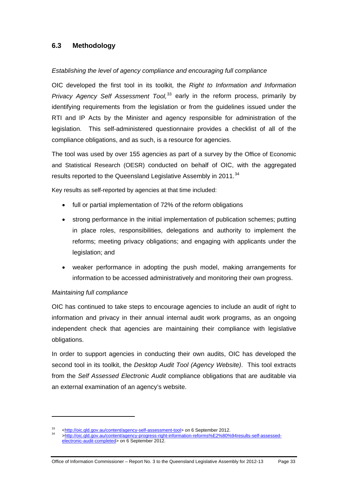## <span id="page-38-0"></span>**6.3 Methodology**

#### *Establishing the level of agency compliance and encouraging full compliance*

OIC developed the first tool in its toolkit, the *Right to Information and Information Privacy Agency Self Assessment Tool*<sup>[33](#page-38-1)</sup> early in the reform process, primarily by identifying requirements from the legislation or from the guidelines issued under the RTI and IP Acts by the Minister and agency responsible for administration of the legislation. This self-administered questionnaire provides a checklist of all of the compliance obligations, and as such, is a resource for agencies.

The tool was used by over 155 agencies as part of a survey by the Office of Economic and Statistical Research (OESR) conducted on behalf of OIC, with the aggregated results reported to the Queensland Legislative Assembly in 2011.<sup>[34](#page-38-2)</sup>

Key results as self-reported by agencies at that time included:

- full or partial implementation of 72% of the reform obligations
- strong performance in the initial implementation of publication schemes; putting in place roles, responsibilities, delegations and authority to implement the reforms; meeting privacy obligations; and engaging with applicants under the legislation; and
- weaker performance in adopting the push model, making arrangements for information to be accessed administratively and monitoring their own progress.

#### *Maintaining full compliance*

 $\overline{a}$ 

OIC has continued to take steps to encourage agencies to include an audit of right to information and privacy in their annual internal audit work programs, as an ongoing independent check that agencies are maintaining their compliance with legislative obligations.

In order to support agencies in conducting their own audits, OIC has developed the second tool in its toolkit, the *Desktop Audit Tool (Agency Website)*. This tool extracts from the *Self Assessed Electronic Audit* compliance obligations that are auditable via an external examination of an agency's website.

<span id="page-38-2"></span><span id="page-38-1"></span><sup>33</sup> [<http://oic.qld.gov.au/content/agency-self-assessment-tool](http://oic.qld.gov.au/content/agency-self-assessment-tool)[> on 6 September 2012.](http://oic.qld.gov.au/content/agency-progress-right-information-reforms%E2%80%94results-self-assessed-electronic-audit-completed) 34 [>http://oic.qld.gov.au/content/agency-progress-right-information-reforms%E2%80%94results-self-assessed](http://oic.qld.gov.au/content/agency-progress-right-information-reforms%E2%80%94results-self-assessed-electronic-audit-completed)[electronic-audit-completed>](http://oic.qld.gov.au/content/agency-progress-right-information-reforms%E2%80%94results-self-assessed-electronic-audit-completed) on 6 September 2012.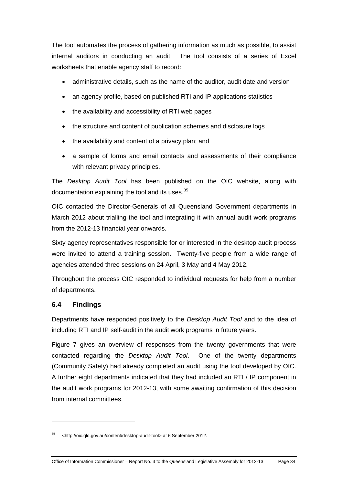The tool automates the process of gathering information as much as possible, to assist internal auditors in conducting an audit. The tool consists of a series of Excel worksheets that enable agency staff to record:

- administrative details, such as the name of the auditor, audit date and version
- an agency profile, based on published RTI and IP applications statistics
- the availability and accessibility of RTI web pages
- the structure and content of publication schemes and disclosure logs
- the availability and content of a privacy plan; and
- a sample of forms and email contacts and assessments of their compliance with relevant privacy principles.

The *Desktop Audit Tool* has been published on the OIC website, along with documentation explaining the tool and its uses.<sup>[35](#page-39-1)</sup>

OIC contacted the Director-Generals of all Queensland Government departments in March 2012 about trialling the tool and integrating it with annual audit work programs from the 2012-13 financial year onwards.

Sixty agency representatives responsible for or interested in the desktop audit process were invited to attend a training session. Twenty-five people from a wide range of agencies attended three sessions on 24 April, 3 May and 4 May 2012.

Throughout the process OIC responded to individual requests for help from a number of departments.

## <span id="page-39-0"></span>**6.4 Findings**

 $\overline{a}$ 

Departments have responded positively to the *Desktop Audit Tool* and to the idea of including RTI and IP self-audit in the audit work programs in future years.

Figure 7 gives an overview of responses from the twenty governments that were contacted regarding the *Desktop Audit Tool*. One of the twenty departments (Community Safety) had already completed an audit using the tool developed by OIC. A further eight departments indicated that they had included an RTI / IP component in the audit work programs for 2012-13, with some awaiting confirmation of this decision from internal committees.

<span id="page-39-1"></span><sup>35 &</sup>lt;http://oic.qld.gov.au/content/desktop-audit-tool> at 6 September 2012.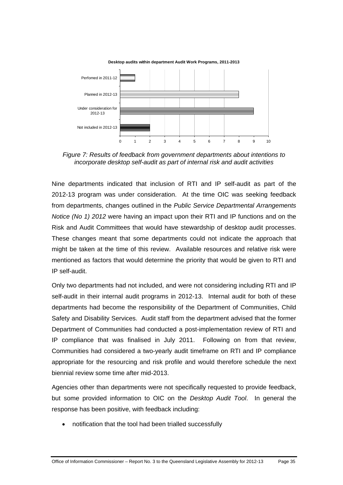

*Figure 7: Results of feedback from government departments about intentions to incorporate desktop self-audit as part of internal risk and audit activities* 

Nine departments indicated that inclusion of RTI and IP self-audit as part of the 2012-13 program was under consideration. At the time OIC was seeking feedback from departments, changes outlined in the *Public Service Departmental Arrangements Notice (No 1) 2012* were having an impact upon their RTI and IP functions and on the Risk and Audit Committees that would have stewardship of desktop audit processes. These changes meant that some departments could not indicate the approach that might be taken at the time of this review. Available resources and relative risk were mentioned as factors that would determine the priority that would be given to RTI and IP self-audit.

Only two departments had not included, and were not considering including RTI and IP self-audit in their internal audit programs in 2012-13. Internal audit for both of these departments had become the responsibility of the Department of Communities, Child Safety and Disability Services. Audit staff from the department advised that the former Department of Communities had conducted a post-implementation review of RTI and IP compliance that was finalised in July 2011. Following on from that review, Communities had considered a two-yearly audit timeframe on RTI and IP compliance appropriate for the resourcing and risk profile and would therefore schedule the next biennial review some time after mid-2013.

Agencies other than departments were not specifically requested to provide feedback, but some provided information to OIC on the *Desktop Audit Tool*. In general the response has been positive, with feedback including:

notification that the tool had been trialled successfully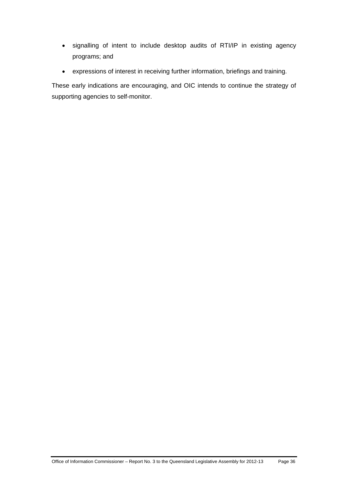- signalling of intent to include desktop audits of RTI/IP in existing agency programs; and
- expressions of interest in receiving further information, briefings and training.

These early indications are encouraging, and OIC intends to continue the strategy of supporting agencies to self-monitor.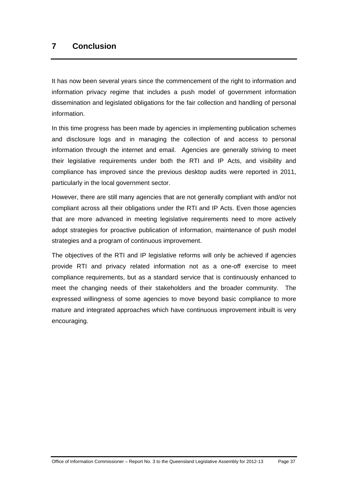## <span id="page-42-0"></span>**7 Conclusion**

It has now been several years since the commencement of the right to information and information privacy regime that includes a push model of government information dissemination and legislated obligations for the fair collection and handling of personal information.

In this time progress has been made by agencies in implementing publication schemes and disclosure logs and in managing the collection of and access to personal information through the internet and email. Agencies are generally striving to meet their legislative requirements under both the RTI and IP Acts, and visibility and compliance has improved since the previous desktop audits were reported in 2011, particularly in the local government sector.

However, there are still many agencies that are not generally compliant with and/or not compliant across all their obligations under the RTI and IP Acts. Even those agencies that are more advanced in meeting legislative requirements need to more actively adopt strategies for proactive publication of information, maintenance of push model strategies and a program of continuous improvement.

The objectives of the RTI and IP legislative reforms will only be achieved if agencies provide RTI and privacy related information not as a one-off exercise to meet compliance requirements, but as a standard service that is continuously enhanced to meet the changing needs of their stakeholders and the broader community. The expressed willingness of some agencies to move beyond basic compliance to more mature and integrated approaches which have continuous improvement inbuilt is very encouraging.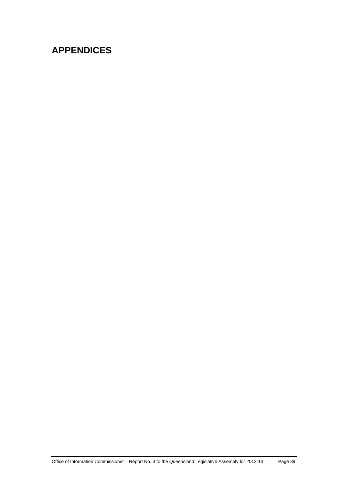# <span id="page-44-0"></span>**APPENDICES**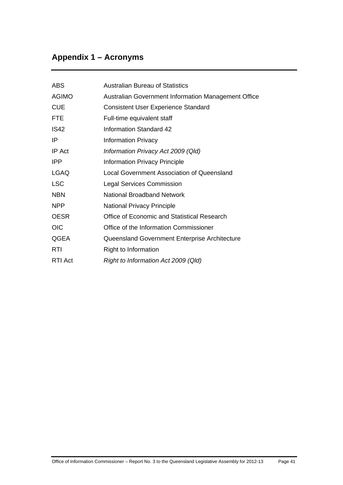# <span id="page-46-0"></span>**Appendix 1 – Acronyms**

| ABS          | Australian Bureau of Statistics                     |
|--------------|-----------------------------------------------------|
| <b>AGIMO</b> | Australian Government Information Management Office |
| <b>CUE</b>   | <b>Consistent User Experience Standard</b>          |
| <b>FTE</b>   | Full-time equivalent staff                          |
| IS42         | Information Standard 42                             |
| IP           | <b>Information Privacy</b>                          |
| IP Act       | Information Privacy Act 2009 (Qld)                  |
| <b>IPP</b>   | <b>Information Privacy Principle</b>                |
| <b>LGAQ</b>  | Local Government Association of Queensland          |
| <b>LSC</b>   | <b>Legal Services Commission</b>                    |
| <b>NBN</b>   | <b>National Broadband Network</b>                   |
| <b>NPP</b>   | <b>National Privacy Principle</b>                   |
| <b>OESR</b>  | Office of Economic and Statistical Research         |
| <b>OIC</b>   | Office of the Information Commissioner              |
| QGEA         | Queensland Government Enterprise Architecture       |
| <b>RTI</b>   | Right to Information                                |
| RTI Act      | Right to Information Act 2009 (Qld)                 |
|              |                                                     |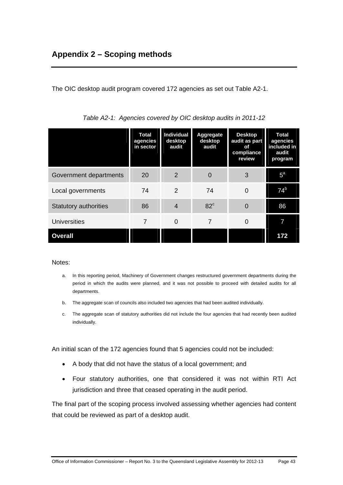<span id="page-48-0"></span>The OIC desktop audit program covered 172 agencies as set out Table A2-1.

|                              | <b>Total</b><br>agencies<br>in sector | Individual<br>desktop<br>audit | <b>Aggregate</b><br>desktop<br>audit | <b>Desktop</b><br>audit as part<br>of<br>compliance<br>review | <b>Total</b><br>agencies<br>included in<br>audit<br>program |
|------------------------------|---------------------------------------|--------------------------------|--------------------------------------|---------------------------------------------------------------|-------------------------------------------------------------|
| Government departments       | 20                                    | 2                              | 0                                    | 3                                                             | $5^{\text{a}}$                                              |
| Local governments            | 74                                    | 2                              | 74                                   | $\overline{0}$                                                | 74 <sup>b</sup>                                             |
| <b>Statutory authorities</b> | 86                                    | 4                              | $82^{\circ}$                         | $\Omega$                                                      | 86                                                          |
| <b>Universities</b>          | 7                                     | 0                              | 7                                    | 0                                                             |                                                             |
| <b>Overall</b>               |                                       |                                |                                      |                                                               | 172                                                         |

| Table A2-1: Agencies covered by OIC desktop audits in 2011-12 |  |  |  |  |
|---------------------------------------------------------------|--|--|--|--|
|                                                               |  |  |  |  |

Notes:

- a. In this reporting period, Machinery of Government changes restructured government departments during the period in which the audits were planned, and it was not possible to proceed with detailed audits for all departments.
- b. The aggregate scan of councils also included two agencies that had been audited individually.
- c. The aggregate scan of statutory authorities did not include the four agencies that had recently been audited individually.

An initial scan of the 172 agencies found that 5 agencies could not be included:

- A body that did not have the status of a local government; and
- Four statutory authorities, one that considered it was not within RTI Act jurisdiction and three that ceased operating in the audit period.

The final part of the scoping process involved assessing whether agencies had content that could be reviewed as part of a desktop audit.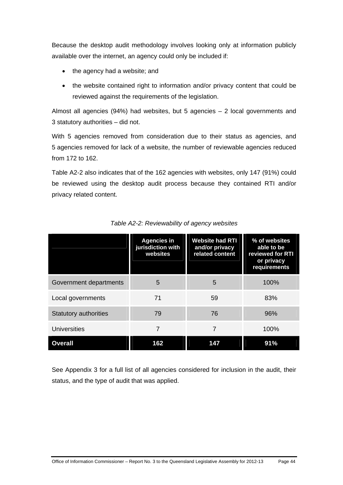Because the desktop audit methodology involves looking only at information publicly available over the internet, an agency could only be included if:

- the agency had a website; and
- the website contained right to information and/or privacy content that could be reviewed against the requirements of the legislation.

Almost all agencies (94%) had websites, but 5 agencies – 2 local governments and 3 statutory authorities – did not.

With 5 agencies removed from consideration due to their status as agencies, and 5 agencies removed for lack of a website, the number of reviewable agencies reduced from 172 to 162.

Table A2-2 also indicates that of the 162 agencies with websites, only 147 (91%) could be reviewed using the desktop audit process because they contained RTI and/or privacy related content.

|                              | <b>Agencies in</b><br>jurisdiction with<br>websites | <b>Website had RTI</b><br>and/or privacy<br>related content | % of websites<br>able to be<br>reviewed for RTI<br>or privacy<br>requirements |
|------------------------------|-----------------------------------------------------|-------------------------------------------------------------|-------------------------------------------------------------------------------|
| Government departments       | 5                                                   | 5                                                           | 100%                                                                          |
| Local governments            | 71                                                  | 59                                                          | 83%                                                                           |
| <b>Statutory authorities</b> | 79                                                  | 76                                                          | 96%                                                                           |
| Universities                 | 7                                                   | 7                                                           | 100%                                                                          |
| <b>Overall</b>               | 162                                                 | 147                                                         | 91%                                                                           |

*Table A2-2: Reviewability of agency websites* 

See Appendix 3 for a full list of all agencies considered for inclusion in the audit, their status, and the type of audit that was applied.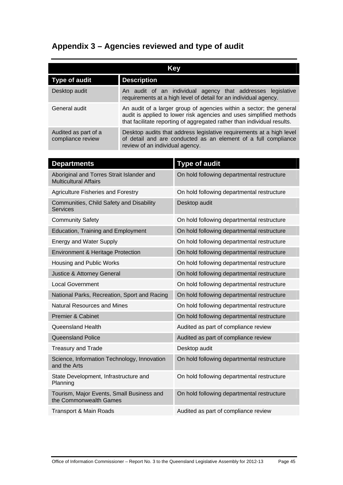## <span id="page-50-0"></span>**Appendix 3 – Agencies reviewed and type of audit**

| Key                                       |                                                                                                                                                                                                                       |  |  |
|-------------------------------------------|-----------------------------------------------------------------------------------------------------------------------------------------------------------------------------------------------------------------------|--|--|
| Type of audit                             | <b>Description</b>                                                                                                                                                                                                    |  |  |
| Desktop audit                             | An audit of an individual agency that addresses legislative<br>requirements at a high level of detail for an individual agency.                                                                                       |  |  |
| General audit                             | An audit of a larger group of agencies within a sector; the general<br>audit is applied to lower risk agencies and uses simplified methods<br>that facilitate reporting of aggregated rather than individual results. |  |  |
| Audited as part of a<br>compliance review | Desktop audits that address legislative requirements at a high level<br>of detail and are conducted as an element of a full compliance<br>review of an individual agency.                                             |  |  |

| <b>Departments</b>                                                        | <b>Type of audit</b>                       |
|---------------------------------------------------------------------------|--------------------------------------------|
| Aboriginal and Torres Strait Islander and<br><b>Multicultural Affairs</b> | On hold following departmental restructure |
| <b>Agriculture Fisheries and Forestry</b>                                 | On hold following departmental restructure |
| Communities, Child Safety and Disability<br><b>Services</b>               | Desktop audit                              |
| <b>Community Safety</b>                                                   | On hold following departmental restructure |
| <b>Education, Training and Employment</b>                                 | On hold following departmental restructure |
| <b>Energy and Water Supply</b>                                            | On hold following departmental restructure |
| <b>Environment &amp; Heritage Protection</b>                              | On hold following departmental restructure |
| Housing and Public Works                                                  | On hold following departmental restructure |
| Justice & Attorney General                                                | On hold following departmental restructure |
| <b>Local Government</b>                                                   | On hold following departmental restructure |
| National Parks, Recreation, Sport and Racing                              | On hold following departmental restructure |
| <b>Natural Resources and Mines</b>                                        | On hold following departmental restructure |
| <b>Premier &amp; Cabinet</b>                                              | On hold following departmental restructure |
| Queensland Health                                                         | Audited as part of compliance review       |
| <b>Queensland Police</b>                                                  | Audited as part of compliance review       |
| <b>Treasury and Trade</b>                                                 | Desktop audit                              |
| Science, Information Technology, Innovation<br>and the Arts               | On hold following departmental restructure |
| State Development, Infrastructure and<br>Planning                         | On hold following departmental restructure |
| Tourism, Major Events, Small Business and<br>the Commonwealth Games       | On hold following departmental restructure |
| <b>Transport &amp; Main Roads</b>                                         | Audited as part of compliance review       |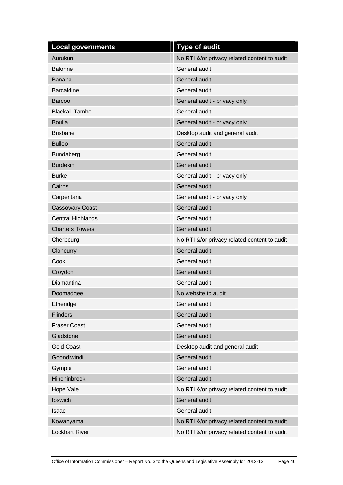| <b>Local governments</b> | <b>Type of audit</b>                         |
|--------------------------|----------------------------------------------|
| Aurukun                  | No RTI &/or privacy related content to audit |
| <b>Balonne</b>           | General audit                                |
| Banana                   | General audit                                |
| <b>Barcaldine</b>        | General audit                                |
| <b>Barcoo</b>            | General audit - privacy only                 |
| <b>Blackall-Tambo</b>    | General audit                                |
| <b>Boulia</b>            | General audit - privacy only                 |
| <b>Brisbane</b>          | Desktop audit and general audit              |
| <b>Bulloo</b>            | General audit                                |
| Bundaberg                | General audit                                |
| <b>Burdekin</b>          | General audit                                |
| <b>Burke</b>             | General audit - privacy only                 |
| Cairns                   | General audit                                |
| Carpentaria              | General audit - privacy only                 |
| <b>Cassowary Coast</b>   | General audit                                |
| Central Highlands        | General audit                                |
| <b>Charters Towers</b>   | <b>General audit</b>                         |
| Cherbourg                | No RTI &/or privacy related content to audit |
| Cloncurry                | General audit                                |
| Cook                     | General audit                                |
| Croydon                  | General audit                                |
| Diamantina               | General audit                                |
| Doomadgee                | No website to audit                          |
| Etheridge                | General audit                                |
| <b>Flinders</b>          | General audit                                |
| <b>Fraser Coast</b>      | General audit                                |
| Gladstone                | General audit                                |
| <b>Gold Coast</b>        | Desktop audit and general audit              |
| Goondiwindi              | General audit                                |
| Gympie                   | General audit                                |
| Hinchinbrook             | General audit                                |
| Hope Vale                | No RTI &/or privacy related content to audit |
| Ipswich                  | General audit                                |
| Isaac                    | General audit                                |
| Kowanyama                | No RTI &/or privacy related content to audit |
| <b>Lockhart River</b>    | No RTI &/or privacy related content to audit |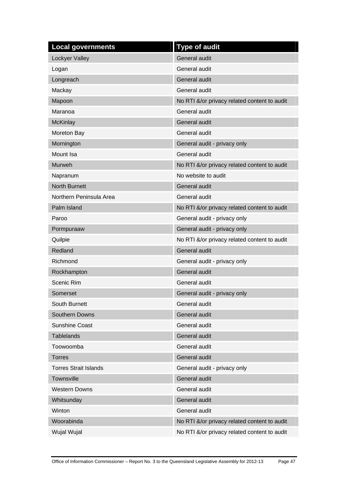| <b>Local governments</b>     | <b>Type of audit</b>                         |
|------------------------------|----------------------------------------------|
| Lockyer Valley               | General audit                                |
| Logan                        | General audit                                |
| Longreach                    | General audit                                |
| Mackay                       | General audit                                |
| Mapoon                       | No RTI &/or privacy related content to audit |
| Maranoa                      | General audit                                |
| <b>McKinlay</b>              | General audit                                |
| Moreton Bay                  | General audit                                |
| Mornington                   | General audit - privacy only                 |
| Mount Isa                    | <b>General audit</b>                         |
| <b>Murweh</b>                | No RTI &/or privacy related content to audit |
| Napranum                     | No website to audit                          |
| <b>North Burnett</b>         | General audit                                |
| Northern Peninsula Area      | <b>General audit</b>                         |
| Palm Island                  | No RTI &/or privacy related content to audit |
| Paroo                        | General audit - privacy only                 |
| Pormpuraaw                   | General audit - privacy only                 |
| Quilpie                      | No RTI &/or privacy related content to audit |
| Redland                      | General audit                                |
| Richmond                     | General audit - privacy only                 |
| Rockhampton                  | General audit                                |
| <b>Scenic Rim</b>            | General audit                                |
| Somerset                     | General audit - privacy only                 |
| South Burnett                | General audit                                |
| Southern Downs               | General audit                                |
| <b>Sunshine Coast</b>        | General audit                                |
| <b>Tablelands</b>            | General audit                                |
| Toowoomba                    | General audit                                |
| <b>Torres</b>                | General audit                                |
| <b>Torres Strait Islands</b> | General audit - privacy only                 |
| Townsville                   | General audit                                |
| <b>Western Downs</b>         | General audit                                |
| Whitsunday                   | General audit                                |
| Winton                       | General audit                                |
| Woorabinda                   | No RTI &/or privacy related content to audit |
| Wujal Wujal                  | No RTI &/or privacy related content to audit |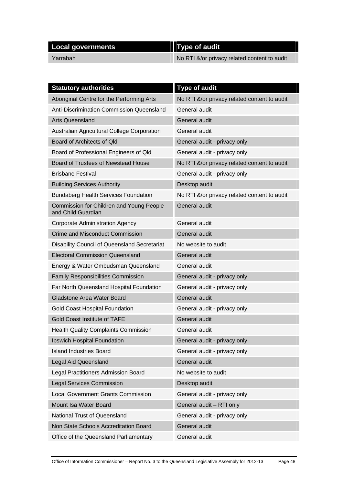| Local governments | <b>Type of audit</b>                          |
|-------------------|-----------------------------------------------|
| Yarrabah          | No RTI &/or privacy related content to audit/ |

| <b>Statutory authorities</b>                                   | <b>Type of audit</b>                         |
|----------------------------------------------------------------|----------------------------------------------|
| Aboriginal Centre for the Performing Arts                      | No RTI &/or privacy related content to audit |
| Anti-Discrimination Commission Queensland                      | General audit                                |
| <b>Arts Queensland</b>                                         | General audit                                |
| Australian Agricultural College Corporation                    | General audit                                |
| Board of Architects of Qld                                     | General audit - privacy only                 |
| Board of Professional Engineers of Qld                         | General audit - privacy only                 |
| Board of Trustees of Newstead House                            | No RTI &/or privacy related content to audit |
| <b>Brisbane Festival</b>                                       | General audit - privacy only                 |
| <b>Building Services Authority</b>                             | Desktop audit                                |
| <b>Bundaberg Health Services Foundation</b>                    | No RTI &/or privacy related content to audit |
| Commission for Children and Young People<br>and Child Guardian | <b>General audit</b>                         |
| Corporate Administration Agency                                | General audit                                |
| Crime and Misconduct Commission                                | <b>General audit</b>                         |
| Disability Council of Queensland Secretariat                   | No website to audit                          |
| <b>Electoral Commission Queensland</b>                         | General audit                                |
| Energy & Water Ombudsman Queensland                            | General audit                                |
| <b>Family Responsibilities Commission</b>                      | General audit - privacy only                 |
| Far North Queensland Hospital Foundation                       | General audit - privacy only                 |
| <b>Gladstone Area Water Board</b>                              | General audit                                |
| <b>Gold Coast Hospital Foundation</b>                          | General audit - privacy only                 |
| <b>Gold Coast Institute of TAFE</b>                            | General audit                                |
| <b>Health Quality Complaints Commission</b>                    | General audit                                |
| Ipswich Hospital Foundation                                    | General audit - privacy only                 |
| <b>Island Industries Board</b>                                 | General audit - privacy only                 |
| <b>Legal Aid Queensland</b>                                    | General audit                                |
| Legal Practitioners Admission Board                            | No website to audit                          |
| <b>Legal Services Commission</b>                               | Desktop audit                                |
| <b>Local Government Grants Commission</b>                      | General audit - privacy only                 |
| Mount Isa Water Board                                          | General audit - RTI only                     |
| National Trust of Queensland                                   | General audit - privacy only                 |
| Non State Schools Accreditation Board                          | General audit                                |
| Office of the Queensland Parliamentary                         | General audit                                |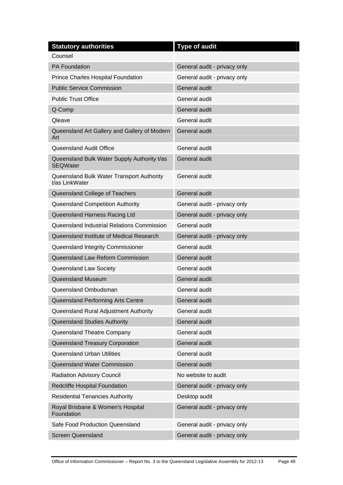| <b>Statutory authorities</b>                                   | <b>Type of audit</b>         |
|----------------------------------------------------------------|------------------------------|
| Counsel                                                        |                              |
| <b>PA Foundation</b>                                           | General audit - privacy only |
| Prince Charles Hospital Foundation                             | General audit - privacy only |
| <b>Public Service Commission</b>                               | General audit                |
| <b>Public Trust Office</b>                                     | General audit                |
| Q-Comp                                                         | General audit                |
| Qleave                                                         | General audit                |
| Queensland Art Gallery and Gallery of Modern<br>Art            | <b>General audit</b>         |
| Queensland Audit Office                                        | General audit                |
| Queensland Bulk Water Supply Authority t/as<br><b>SEQWater</b> | <b>General audit</b>         |
| Queensland Bulk Water Transport Authority<br>t/as LinkWater    | General audit                |
| Queensland College of Teachers                                 | <b>General audit</b>         |
| Queensland Competition Authority                               | General audit - privacy only |
| Queensland Harness Racing Ltd                                  | General audit - privacy only |
| Queensland Industrial Relations Commission                     | General audit                |
| Queensland Institute of Medical Research                       | General audit - privacy only |
| Queensland Integrity Commissioner                              | General audit                |
| Queensland Law Reform Commission                               | <b>General audit</b>         |
| Queensland Law Society                                         | General audit                |
| <b>Queensland Museum</b>                                       | General audit                |
| Queensland Ombudsman                                           | General audit                |
| Queensland Performing Arts Centre                              | General audit                |
| Queensland Rural Adjustment Authority                          | General audit                |
| Queensland Studies Authority                                   | General audit                |
| Queensland Theatre Company                                     | General audit                |
| Queensland Treasury Corporation                                | General audit                |
| <b>Queensland Urban Utilities</b>                              | General audit                |
| Queensland Water Commission                                    | General audit                |
| Radiation Advisory Council                                     | No website to audit          |
| Redcliffe Hospital Foundation                                  | General audit - privacy only |
| <b>Residential Tenancies Authority</b>                         | Desktop audit                |
| Royal Brisbane & Women's Hospital<br>Foundation                | General audit - privacy only |
| Safe Food Production Queensland                                | General audit - privacy only |
| <b>Screen Queensland</b>                                       | General audit - privacy only |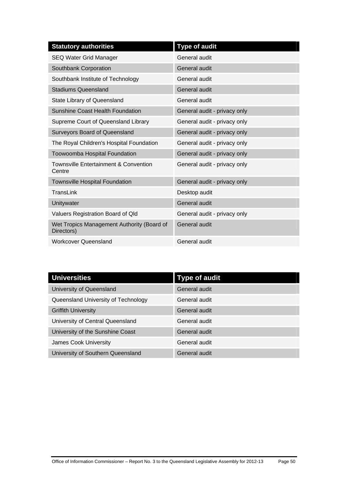| <b>Statutory authorities</b>                               | <b>Type of audit</b>         |
|------------------------------------------------------------|------------------------------|
| <b>SEQ Water Grid Manager</b>                              | General audit                |
| Southbank Corporation                                      | <b>General audit</b>         |
| Southbank Institute of Technology                          | General audit                |
| <b>Stadiums Queensland</b>                                 | <b>General audit</b>         |
| State Library of Queensland                                | General audit                |
| <b>Sunshine Coast Health Foundation</b>                    | General audit - privacy only |
| Supreme Court of Queensland Library                        | General audit - privacy only |
| <b>Surveyors Board of Queensland</b>                       | General audit - privacy only |
| The Royal Children's Hospital Foundation                   | General audit - privacy only |
| Toowoomba Hospital Foundation                              | General audit - privacy only |
| <b>Townsville Entertainment &amp; Convention</b><br>Centre | General audit - privacy only |
| <b>Townsville Hospital Foundation</b>                      | General audit - privacy only |
| TransLink                                                  | Desktop audit                |
| Unitywater                                                 | <b>General audit</b>         |
| Valuers Registration Board of Qld                          | General audit - privacy only |
| Wet Tropics Management Authority (Board of<br>Directors)   | <b>General audit</b>         |
| <b>Workcover Queensland</b>                                | General audit                |

| <b>Universities</b>                 | <b>Type of audit</b> |
|-------------------------------------|----------------------|
| University of Queensland            | General audit        |
| Queensland University of Technology | General audit        |
| <b>Griffith University</b>          | General audit        |
| University of Central Queensland    | General audit        |
| University of the Sunshine Coast    | <b>General audit</b> |
| James Cook University               | General audit        |
| University of Southern Queensland   | General audit        |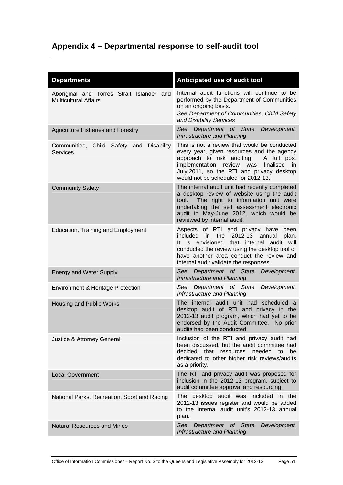## <span id="page-56-0"></span>**Appendix 4 – Departmental response to self-audit tool**

| <b>Departments</b>                                                        | Anticipated use of audit tool                                                                                                                                                                                                                                                |
|---------------------------------------------------------------------------|------------------------------------------------------------------------------------------------------------------------------------------------------------------------------------------------------------------------------------------------------------------------------|
| Aboriginal and Torres Strait Islander and<br><b>Multicultural Affairs</b> | Internal audit functions will continue to be<br>performed by the Department of Communities<br>on an ongoing basis.<br>See Department of Communities, Child Safety<br>and Disability Services                                                                                 |
| <b>Agriculture Fisheries and Forestry</b>                                 | See<br>Department of State<br>Development,<br>Infrastructure and Planning                                                                                                                                                                                                    |
| Communities, Child Safety and<br><b>Disability</b><br><b>Services</b>     | This is not a review that would be conducted<br>every year, given resources and the agency<br>approach to risk auditing.<br>A full post<br>implementation review was<br>finalised in<br>July 2011, so the RTI and privacy desktop<br>would not be scheduled for 2012-13.     |
| <b>Community Safety</b>                                                   | The internal audit unit had recently completed<br>a desktop review of website using the audit<br>The right to information unit were<br>tool.<br>undertaking the self assessment electronic<br>audit in May-June 2012, which would be<br>reviewed by internal audit.          |
| <b>Education, Training and Employment</b>                                 | Aspects of RTI and privacy have<br>been<br>included in<br>the $2012-13$ annual<br>plan.<br>It is envisioned that internal audit will<br>conducted the review using the desktop tool or<br>have another area conduct the review and<br>internal audit validate the responses. |
| <b>Energy and Water Supply</b>                                            | See<br>Department of State<br>Development,<br>Infrastructure and Planning                                                                                                                                                                                                    |
| Environment & Heritage Protection                                         | See<br>Department of State<br>Development,<br>Infrastructure and Planning                                                                                                                                                                                                    |
| Housing and Public Works                                                  | The internal audit unit had scheduled a<br>desktop audit of RTI and privacy in the<br>2012-13 audit program, which had yet to be<br>endorsed by the Audit Committee. No prior<br>audits had been conducted.                                                                  |
| Justice & Attorney General                                                | Inclusion of the RTI and privacy audit had<br>been discussed, but the audit committee had<br>needed<br>decided<br>that<br>resources<br>be<br>to<br>dedicated to other higher risk reviews/audits<br>as a priority.                                                           |
| <b>Local Government</b>                                                   | The RTI and privacy audit was proposed for<br>inclusion in the 2012-13 program, subject to<br>audit committee approval and resourcing.                                                                                                                                       |
| National Parks, Recreation, Sport and Racing                              | The desktop audit was included in the<br>2012-13 issues register and would be added<br>to the internal audit unit's 2012-13 annual<br>plan.                                                                                                                                  |
| <b>Natural Resources and Mines</b>                                        | Department of State<br>See<br>Development,<br>Infrastructure and Planning                                                                                                                                                                                                    |